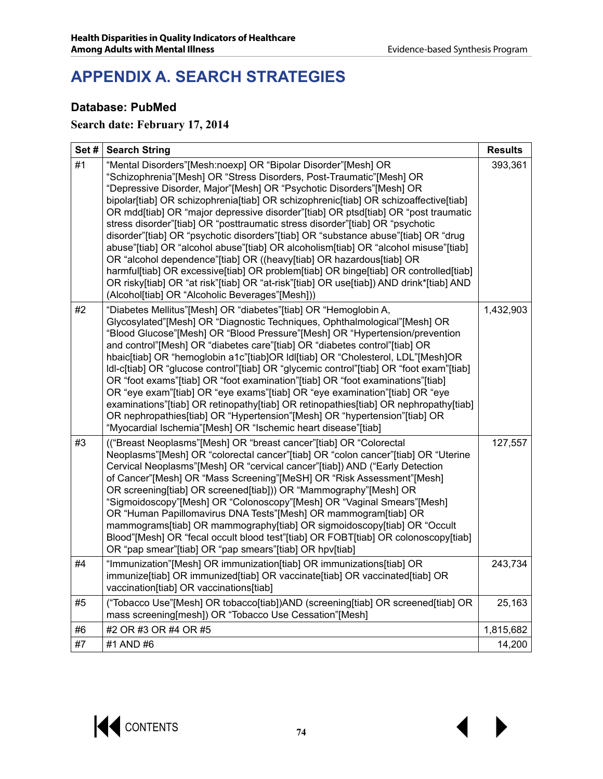# **APPENDIX A. SEARCH STRATEGIES**

#### **Database: PubMed**

#### **Search date: February 17, 2014**

| Set# | <b>Search String</b>                                                                                                                                                                                                                                                                                                                                                                                                                                                                                                                                                                                                                                                                                                                                                                                                                                                                                                                                                    | <b>Results</b> |
|------|-------------------------------------------------------------------------------------------------------------------------------------------------------------------------------------------------------------------------------------------------------------------------------------------------------------------------------------------------------------------------------------------------------------------------------------------------------------------------------------------------------------------------------------------------------------------------------------------------------------------------------------------------------------------------------------------------------------------------------------------------------------------------------------------------------------------------------------------------------------------------------------------------------------------------------------------------------------------------|----------------|
| #1   | "Mental Disorders"[Mesh:noexp] OR "Bipolar Disorder"[Mesh] OR<br>"Schizophrenia"[Mesh] OR "Stress Disorders, Post-Traumatic"[Mesh] OR<br>"Depressive Disorder, Major"[Mesh] OR "Psychotic Disorders"[Mesh] OR<br>bipolar[tiab] OR schizophrenia[tiab] OR schizophrenic[tiab] OR schizoaffective[tiab]<br>OR mdd[tiab] OR "major depressive disorder"[tiab] OR ptsd[tiab] OR "post traumatic<br>stress disorder"[tiab] OR "posttraumatic stress disorder"[tiab] OR "psychotic<br>disorder"[tiab] OR "psychotic disorders"[tiab] OR "substance abuse"[tiab] OR "drug<br>abuse"[tiab] OR "alcohol abuse"[tiab] OR alcoholism[tiab] OR "alcohol misuse"[tiab]<br>OR "alcohol dependence"[tiab] OR ((heavy[tiab] OR hazardous[tiab] OR<br>harmful[tiab] OR excessive[tiab] OR problem[tiab] OR binge[tiab] OR controlled[tiab]<br>OR risky[tiab] OR "at risk"[tiab] OR "at-risk"[tiab] OR use[tiab]) AND drink*[tiab] AND<br>(Alcohol[tiab] OR "Alcoholic Beverages"[Mesh])) | 393,361        |
| #2   | "Diabetes Mellitus"[Mesh] OR "diabetes"[tiab] OR "Hemoglobin A,<br>Glycosylated"[Mesh] OR "Diagnostic Techniques, Ophthalmological"[Mesh] OR<br>"Blood Glucose"[Mesh] OR "Blood Pressure"[Mesh] OR "Hypertension/prevention<br>and control"[Mesh] OR "diabetes care"[tiab] OR "diabetes control"[tiab] OR<br>hbaic[tiab] OR "hemoglobin a1c"[tiab]OR ldl[tiab] OR "Cholesterol, LDL"[Mesh]OR<br>Idl-c[tiab] OR "glucose control"[tiab] OR "glycemic control"[tiab] OR "foot exam"[tiab]<br>OR "foot exams"[tiab] OR "foot examination"[tiab] OR "foot examinations"[tiab]<br>OR "eye exam"[tiab] OR "eye exams"[tiab] OR "eye examination"[tiab] OR "eye<br>examinations"[tiab] OR retinopathy[tiab] OR retinopathies[tiab] OR nephropathy[tiab]<br>OR nephropathies[tiab] OR "Hypertension"[Mesh] OR "hypertension"[tiab] OR<br>"Myocardial Ischemia"[Mesh] OR "Ischemic heart disease"[tiab]                                                                          | 1,432,903      |
| #3   | (("Breast Neoplasms"[Mesh] OR "breast cancer"[tiab] OR "Colorectal<br>Neoplasms"[Mesh] OR "colorectal cancer"[tiab] OR "colon cancer"[tiab] OR "Uterine<br>Cervical Neoplasms"[Mesh] OR "cervical cancer"[tiab]) AND ("Early Detection<br>of Cancer"[Mesh] OR "Mass Screening"[MeSH] OR "Risk Assessment"[Mesh]<br>OR screening[tiab] OR screened[tiab])) OR "Mammography"[Mesh] OR<br>"Sigmoidoscopy"[Mesh] OR "Colonoscopy"[Mesh] OR "Vaginal Smears"[Mesh]<br>OR "Human Papillomavirus DNA Tests"[Mesh] OR mammogram[tiab] OR<br>mammograms[tiab] OR mammography[tiab] OR sigmoidoscopy[tiab] OR "Occult<br>Blood"[Mesh] OR "fecal occult blood test"[tiab] OR FOBT[tiab] OR colonoscopy[tiab]<br>OR "pap smear"[tiab] OR "pap smears"[tiab] OR hpv[tiab]                                                                                                                                                                                                            | 127,557        |
| #4   | "Immunization"[Mesh] OR immunization[tiab] OR immunizations[tiab] OR<br>immunize[tiab] OR immunized[tiab] OR vaccinate[tiab] OR vaccinated[tiab] OR<br>vaccination[tiab] OR vaccinations[tiab]                                                                                                                                                                                                                                                                                                                                                                                                                                                                                                                                                                                                                                                                                                                                                                          | 243,734        |
| #5   | ("Tobacco Use"[Mesh] OR tobacco[tiab])AND (screening[tiab] OR screened[tiab] OR<br>mass screening[mesh]) OR "Tobacco Use Cessation"[Mesh]                                                                                                                                                                                                                                                                                                                                                                                                                                                                                                                                                                                                                                                                                                                                                                                                                               | 25,163         |
| #6   | #2 OR #3 OR #4 OR #5                                                                                                                                                                                                                                                                                                                                                                                                                                                                                                                                                                                                                                                                                                                                                                                                                                                                                                                                                    | 1,815,682      |
| #7   | #1 AND #6                                                                                                                                                                                                                                                                                                                                                                                                                                                                                                                                                                                                                                                                                                                                                                                                                                                                                                                                                               | 14,200         |

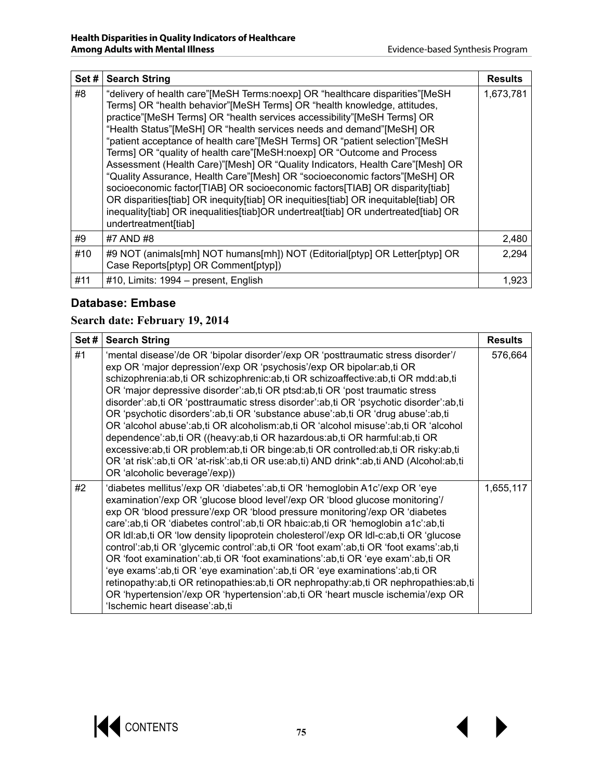| Set# | <b>Search String</b>                                                                                                                                                                                                                                                                                                                                                                                                                                                                                                                                                                                                                                                                                                                                                                                                                                                                                                      | <b>Results</b> |
|------|---------------------------------------------------------------------------------------------------------------------------------------------------------------------------------------------------------------------------------------------------------------------------------------------------------------------------------------------------------------------------------------------------------------------------------------------------------------------------------------------------------------------------------------------------------------------------------------------------------------------------------------------------------------------------------------------------------------------------------------------------------------------------------------------------------------------------------------------------------------------------------------------------------------------------|----------------|
| #8   | "delivery of health care"[MeSH Terms:noexp] OR "healthcare disparities"[MeSH<br>Terms] OR "health behavior"[MeSH Terms] OR "health knowledge, attitudes,<br>practice"[MeSH Terms] OR "health services accessibility"[MeSH Terms] OR<br>"Health Status" [MeSH] OR "health services needs and demand" [MeSH] OR<br>"patient acceptance of health care"[MeSH Terms] OR "patient selection"[MeSH<br>Terms] OR "quality of health care"[MeSH:noexp] OR "Outcome and Process<br>Assessment (Health Care)"[Mesh] OR "Quality Indicators, Health Care"[Mesh] OR<br>"Quality Assurance, Health Care"[Mesh] OR "socioeconomic factors"[MeSH] OR<br>socioeconomic factor[TIAB] OR socioeconomic factors[TIAB] OR disparity[tiab]<br>OR disparities[tiab] OR inequity[tiab] OR inequities[tiab] OR inequitable[tiab] OR<br>inequality[tiab] OR inequalities[tiab]OR undertreat[tiab] OR undertreated[tiab] OR<br>undertreatment[tiab] | 1,673,781      |
| #9   | #7 AND #8                                                                                                                                                                                                                                                                                                                                                                                                                                                                                                                                                                                                                                                                                                                                                                                                                                                                                                                 | 2,480          |
| #10  | #9 NOT (animals[mh] NOT humans[mh]) NOT (Editorial[ptyp] OR Letter[ptyp] OR<br>Case Reports[ptyp] OR Comment[ptyp])                                                                                                                                                                                                                                                                                                                                                                                                                                                                                                                                                                                                                                                                                                                                                                                                       | 2,294          |
| #11  | #10, Limits: 1994 – present, English                                                                                                                                                                                                                                                                                                                                                                                                                                                                                                                                                                                                                                                                                                                                                                                                                                                                                      | 1,923          |

### **Database: Embase**

### **Search date: February 19, 2014**

| Set# | <b>Search String</b>                                                                                                                                                                                                                                                                                                                                                                                                                                                                                                                                                                                                                                                                                                                                                                                                                                                                                 | <b>Results</b> |
|------|------------------------------------------------------------------------------------------------------------------------------------------------------------------------------------------------------------------------------------------------------------------------------------------------------------------------------------------------------------------------------------------------------------------------------------------------------------------------------------------------------------------------------------------------------------------------------------------------------------------------------------------------------------------------------------------------------------------------------------------------------------------------------------------------------------------------------------------------------------------------------------------------------|----------------|
| #1   | 'mental disease'/de OR 'bipolar disorder'/exp OR 'posttraumatic stress disorder'/<br>exp OR 'major depression'/exp OR 'psychosis'/exp OR bipolar:ab, ti OR<br>schizophrenia:ab,ti OR schizophrenic:ab,ti OR schizoaffective:ab,ti OR mdd:ab,ti<br>OR 'major depressive disorder': ab, ti OR ptsd: ab, ti OR 'post traumatic stress<br>disorder':ab,ti OR 'posttraumatic stress disorder':ab,ti OR 'psychotic disorder':ab,ti<br>OR 'psychotic disorders':ab,ti OR 'substance abuse':ab,ti OR 'drug abuse':ab,ti<br>OR 'alcohol abuse':ab,ti OR alcoholism:ab,ti OR 'alcohol misuse':ab,ti OR 'alcohol<br>dependence':ab,ti OR ((heavy:ab,ti OR hazardous:ab,ti OR harmful:ab,ti OR<br>excessive:ab,ti OR problem:ab,ti OR binge:ab,ti OR controlled:ab,ti OR risky:ab,ti<br>OR 'at risk':ab,ti OR 'at-risk':ab,ti OR use:ab,ti) AND drink*:ab,ti AND (Alcohol:ab,ti<br>OR 'alcoholic beverage'/exp)) | 576,664        |
| #2   | 'diabetes mellitus'/exp OR 'diabetes':ab,ti OR 'hemoglobin A1c'/exp OR 'eye<br>examination'/exp OR 'glucose blood level'/exp OR 'blood glucose monitoring'/<br>exp OR 'blood pressure'/exp OR 'blood pressure monitoring'/exp OR 'diabetes<br>care':ab,ti OR 'diabetes control':ab,ti OR hbaic:ab,ti OR 'hemoglobin a1c':ab,ti<br>OR Idl:ab,ti OR 'low density lipoprotein cholesterol'/exp OR Idl-c:ab,ti OR 'glucose<br>control':ab,ti OR 'glycemic control':ab,ti OR 'foot exam':ab,ti OR 'foot exams':ab,ti<br>OR 'foot examination':ab,ti OR 'foot examinations':ab,ti OR 'eye exam':ab,ti OR<br>'eye exams':ab,ti OR 'eye examination':ab,ti OR 'eye examinations':ab,ti OR<br>retinopathy:ab,ti OR retinopathies:ab,ti OR nephropathy:ab,ti OR nephropathies:ab,ti<br>OR 'hypertension'/exp OR 'hypertension':ab,ti OR 'heart muscle ischemia'/exp OR<br>'Ischemic heart disease':ab,ti       | 1,655,117      |

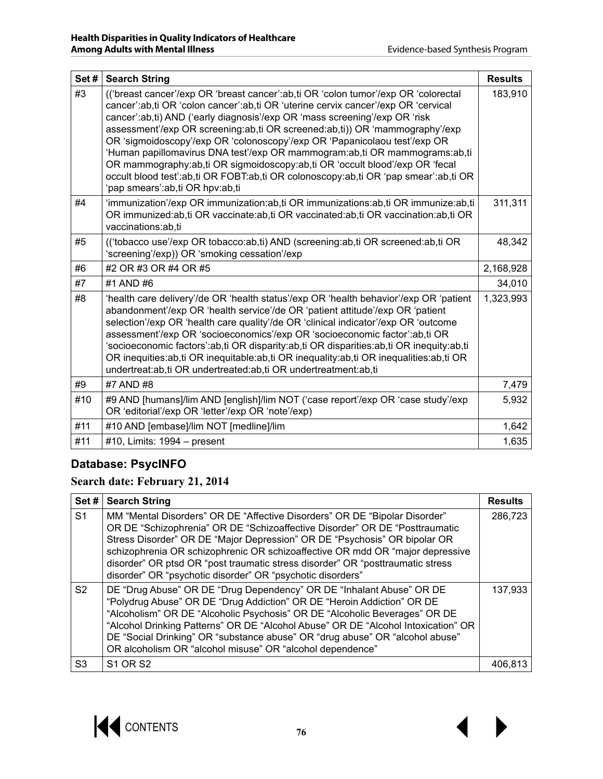| Set# | <b>Search String</b>                                                                                                                                                                                                                                                                                                                                                                                                                                                                                                                                                                                                                                                                                     | <b>Results</b> |
|------|----------------------------------------------------------------------------------------------------------------------------------------------------------------------------------------------------------------------------------------------------------------------------------------------------------------------------------------------------------------------------------------------------------------------------------------------------------------------------------------------------------------------------------------------------------------------------------------------------------------------------------------------------------------------------------------------------------|----------------|
| #3   | (('breast cancer'/exp OR 'breast cancer':ab,ti OR 'colon tumor'/exp OR 'colorectal<br>cancer':ab,ti OR 'colon cancer':ab,ti OR 'uterine cervix cancer'/exp OR 'cervical<br>cancer':ab,ti) AND ('early diagnosis'/exp OR 'mass screening'/exp OR 'risk<br>assessment'/exp OR screening:ab,ti OR screened:ab,ti)) OR 'mammography'/exp<br>OR 'sigmoidoscopy'/exp OR 'colonoscopy'/exp OR 'Papanicolaou test'/exp OR<br>'Human papillomavirus DNA test'/exp OR mammogram:ab,ti OR mammograms:ab,ti<br>OR mammography:ab,ti OR sigmoidoscopy:ab,ti OR 'occult blood'/exp OR 'fecal<br>occult blood test':ab,ti OR FOBT:ab,ti OR colonoscopy:ab,ti OR 'pap smear':ab,ti OR<br>'pap smears':ab,ti OR hpv:ab,ti | 183,910        |
| #4   | 'immunization'/exp OR immunization:ab,ti OR immunizations:ab,ti OR immunize:ab,ti<br>OR immunized:ab,ti OR vaccinate:ab,ti OR vaccinated:ab,ti OR vaccination:ab,ti OR<br>vaccinations:ab,ti                                                                                                                                                                                                                                                                                                                                                                                                                                                                                                             | 311,311        |
| #5   | (('tobacco use'/exp OR tobacco:ab,ti) AND (screening:ab,ti OR screened:ab,ti OR<br>'screening'/exp)) OR 'smoking cessation'/exp                                                                                                                                                                                                                                                                                                                                                                                                                                                                                                                                                                          | 48,342         |
| #6   | #2 OR #3 OR #4 OR #5                                                                                                                                                                                                                                                                                                                                                                                                                                                                                                                                                                                                                                                                                     | 2,168,928      |
| #7   | #1 AND #6                                                                                                                                                                                                                                                                                                                                                                                                                                                                                                                                                                                                                                                                                                | 34,010         |
| #8   | 'health care delivery'/de OR 'health status'/exp OR 'health behavior'/exp OR 'patient<br>abandonment'/exp OR 'health service'/de OR 'patient attitude'/exp OR 'patient<br>selection'/exp OR 'health care quality'/de OR 'clinical indicator'/exp OR 'outcome<br>assessment'/exp OR 'socioeconomics'/exp OR 'socioeconomic factor':ab,ti OR<br>'socioeconomic factors':ab,ti OR disparity:ab,ti OR disparities:ab,ti OR inequity:ab,ti<br>OR inequities:ab,ti OR inequitable:ab,ti OR inequality:ab,ti OR inequalities:ab,ti OR<br>undertreat:ab,ti OR undertreated:ab,ti OR undertreatment:ab,ti                                                                                                         | 1,323,993      |
| #9   | #7 AND #8                                                                                                                                                                                                                                                                                                                                                                                                                                                                                                                                                                                                                                                                                                | 7,479          |
| #10  | #9 AND [humans]/lim AND [english]/lim NOT ('case report'/exp OR 'case study'/exp<br>OR 'editorial'/exp OR 'letter'/exp OR 'note'/exp)                                                                                                                                                                                                                                                                                                                                                                                                                                                                                                                                                                    | 5,932          |
| #11  | #10 AND [embase]/lim NOT [medline]/lim                                                                                                                                                                                                                                                                                                                                                                                                                                                                                                                                                                                                                                                                   | 1,642          |
| #11  | #10, Limits: $1994 - present$                                                                                                                                                                                                                                                                                                                                                                                                                                                                                                                                                                                                                                                                            | 1,635          |

### **Database: PsycINFO**

#### **Search date: February 21, 2014**

| Set#           | <b>Search String</b>                                                                                                                                                                                                                                                                                                                                                                                                                                                    | <b>Results</b> |
|----------------|-------------------------------------------------------------------------------------------------------------------------------------------------------------------------------------------------------------------------------------------------------------------------------------------------------------------------------------------------------------------------------------------------------------------------------------------------------------------------|----------------|
| S <sub>1</sub> | MM "Mental Disorders" OR DE "Affective Disorders" OR DE "Bipolar Disorder"<br>OR DE "Schizophrenia" OR DE "Schizoaffective Disorder" OR DE "Posttraumatic<br>Stress Disorder" OR DE "Major Depression" OR DE "Psychosis" OR bipolar OR<br>schizophrenia OR schizophrenic OR schizoaffective OR mdd OR "major depressive<br>disorder" OR ptsd OR "post traumatic stress disorder" OR "posttraumatic stress<br>disorder" OR "psychotic disorder" OR "psychotic disorders" | 286,723        |
| S <sub>2</sub> | DE "Drug Abuse" OR DE "Drug Dependency" OR DE "Inhalant Abuse" OR DE<br>"Polydrug Abuse" OR DE "Drug Addiction" OR DE "Heroin Addiction" OR DE<br>"Alcoholism" OR DE "Alcoholic Psychosis" OR DE "Alcoholic Beverages" OR DE<br>"Alcohol Drinking Patterns" OR DE "Alcohol Abuse" OR DE "Alcohol Intoxication" OR<br>DE "Social Drinking" OR "substance abuse" OR "drug abuse" OR "alcohol abuse"<br>OR alcoholism OR "alcohol misuse" OR "alcohol dependence"          | 137,933        |
| S <sub>3</sub> | <b>S1 OR S2</b>                                                                                                                                                                                                                                                                                                                                                                                                                                                         | 406.813        |

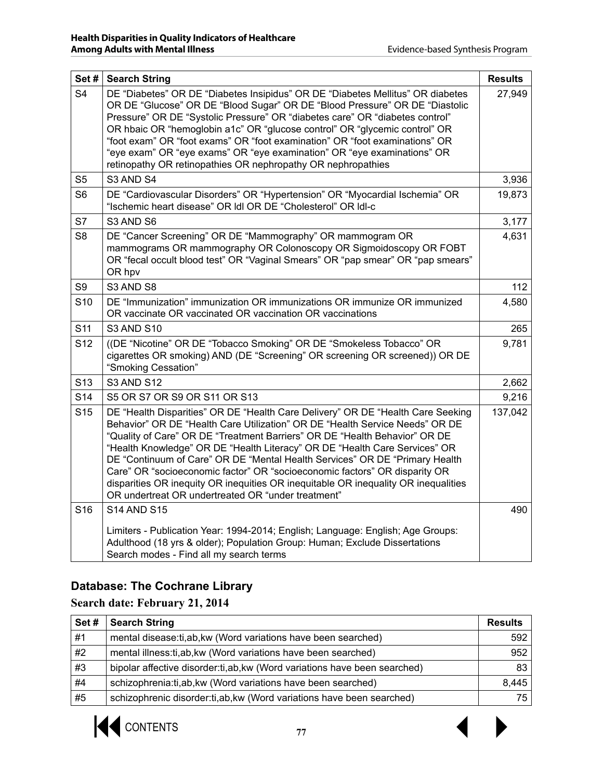| Set #           | <b>Search String</b>                                                                                                                                                                                                                                                                                                                                                                                                                                                                                                                                                                                                                 | <b>Results</b> |
|-----------------|--------------------------------------------------------------------------------------------------------------------------------------------------------------------------------------------------------------------------------------------------------------------------------------------------------------------------------------------------------------------------------------------------------------------------------------------------------------------------------------------------------------------------------------------------------------------------------------------------------------------------------------|----------------|
| S <sub>4</sub>  | DE "Diabetes" OR DE "Diabetes Insipidus" OR DE "Diabetes Mellitus" OR diabetes<br>OR DE "Glucose" OR DE "Blood Sugar" OR DE "Blood Pressure" OR DE "Diastolic<br>Pressure" OR DE "Systolic Pressure" OR "diabetes care" OR "diabetes control"<br>OR hbaic OR "hemoglobin a1c" OR "glucose control" OR "glycemic control" OR<br>"foot exam" OR "foot exams" OR "foot examination" OR "foot examinations" OR<br>"eye exam" OR "eye exams" OR "eye examination" OR "eye examinations" OR<br>retinopathy OR retinopathies OR nephropathy OR nephropathies                                                                                | 27,949         |
| S <sub>5</sub>  | S3 AND S4                                                                                                                                                                                                                                                                                                                                                                                                                                                                                                                                                                                                                            | 3,936          |
| S <sub>6</sub>  | DE "Cardiovascular Disorders" OR "Hypertension" OR "Myocardial Ischemia" OR<br>"Ischemic heart disease" OR Idl OR DE "Cholesterol" OR Idl-c                                                                                                                                                                                                                                                                                                                                                                                                                                                                                          | 19,873         |
| S7              | S3 AND S6                                                                                                                                                                                                                                                                                                                                                                                                                                                                                                                                                                                                                            | 3,177          |
| S <sub>8</sub>  | DE "Cancer Screening" OR DE "Mammography" OR mammogram OR<br>mammograms OR mammography OR Colonoscopy OR Sigmoidoscopy OR FOBT<br>OR "fecal occult blood test" OR "Vaginal Smears" OR "pap smear" OR "pap smears"<br>OR hpv                                                                                                                                                                                                                                                                                                                                                                                                          | 4,631          |
| S9              | S3 AND S8                                                                                                                                                                                                                                                                                                                                                                                                                                                                                                                                                                                                                            | 112            |
| S <sub>10</sub> | DE "Immunization" immunization OR immunizations OR immunize OR immunized<br>OR vaccinate OR vaccinated OR vaccination OR vaccinations                                                                                                                                                                                                                                                                                                                                                                                                                                                                                                | 4,580          |
| S <sub>11</sub> | <b>S3 AND S10</b>                                                                                                                                                                                                                                                                                                                                                                                                                                                                                                                                                                                                                    | 265            |
| S <sub>12</sub> | ((DE "Nicotine" OR DE "Tobacco Smoking" OR DE "Smokeless Tobacco" OR<br>cigarettes OR smoking) AND (DE "Screening" OR screening OR screened)) OR DE<br>"Smoking Cessation"                                                                                                                                                                                                                                                                                                                                                                                                                                                           | 9,781          |
| S <sub>13</sub> | <b>S3 AND S12</b>                                                                                                                                                                                                                                                                                                                                                                                                                                                                                                                                                                                                                    | 2,662          |
| S <sub>14</sub> | S5 OR S7 OR S9 OR S11 OR S13                                                                                                                                                                                                                                                                                                                                                                                                                                                                                                                                                                                                         | 9,216          |
| S <sub>15</sub> | DE "Health Disparities" OR DE "Health Care Delivery" OR DE "Health Care Seeking<br>Behavior" OR DE "Health Care Utilization" OR DE "Health Service Needs" OR DE<br>"Quality of Care" OR DE "Treatment Barriers" OR DE "Health Behavior" OR DE<br>"Health Knowledge" OR DE "Health Literacy" OR DE "Health Care Services" OR<br>DE "Continuum of Care" OR DE "Mental Health Services" OR DE "Primary Health<br>Care" OR "socioeconomic factor" OR "socioeconomic factors" OR disparity OR<br>disparities OR inequity OR inequities OR inequitable OR inequality OR inequalities<br>OR undertreat OR undertreated OR "under treatment" | 137,042        |
| S <sub>16</sub> | <b>S14 AND S15</b>                                                                                                                                                                                                                                                                                                                                                                                                                                                                                                                                                                                                                   | 490            |
|                 | Limiters - Publication Year: 1994-2014; English; Language: English; Age Groups:<br>Adulthood (18 yrs & older); Population Group: Human; Exclude Dissertations<br>Search modes - Find all my search terms                                                                                                                                                                                                                                                                                                                                                                                                                             |                |

### **Database: The Cochrane Library**

**Search date: February 21, 2014**

| Set# | <b>Search String</b>                                                        | <b>Results</b> |
|------|-----------------------------------------------------------------------------|----------------|
| #1   | mental disease:ti,ab, kw (Word variations have been searched)               | 592            |
| #2   | mental illness:ti,ab, kw (Word variations have been searched)               | 952            |
| #3   | bipolar affective disorder: ti, ab, kw (Word variations have been searched) | 83             |
| #4   | schizophrenia:ti,ab, kw (Word variations have been searched)                | 8,445          |
| #5   | schizophrenic disorder: ti, ab, kw (Word variations have been searched)     | 75             |

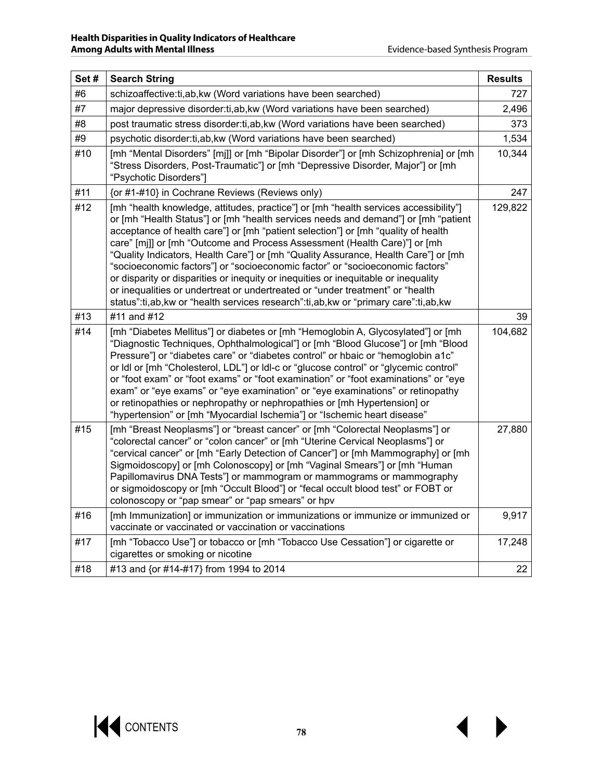| Set# | <b>Search String</b>                                                                                                                                                                                                                                                                                                                                                                                                                                                                                                                                                                                                                                                                                                                                                                | <b>Results</b> |
|------|-------------------------------------------------------------------------------------------------------------------------------------------------------------------------------------------------------------------------------------------------------------------------------------------------------------------------------------------------------------------------------------------------------------------------------------------------------------------------------------------------------------------------------------------------------------------------------------------------------------------------------------------------------------------------------------------------------------------------------------------------------------------------------------|----------------|
| #6   | schizoaffective:ti,ab, kw (Word variations have been searched)                                                                                                                                                                                                                                                                                                                                                                                                                                                                                                                                                                                                                                                                                                                      | 727            |
| #7   | major depressive disorder:ti, ab, kw (Word variations have been searched)                                                                                                                                                                                                                                                                                                                                                                                                                                                                                                                                                                                                                                                                                                           | 2,496          |
| #8   | post traumatic stress disorder:ti, ab, kw (Word variations have been searched)                                                                                                                                                                                                                                                                                                                                                                                                                                                                                                                                                                                                                                                                                                      | 373            |
| #9   | psychotic disorder: ti, ab, kw (Word variations have been searched)                                                                                                                                                                                                                                                                                                                                                                                                                                                                                                                                                                                                                                                                                                                 | 1,534          |
| #10  | [mh "Mental Disorders" [mj]] or [mh "Bipolar Disorder"] or [mh Schizophrenia] or [mh<br>"Stress Disorders, Post-Traumatic"] or [mh "Depressive Disorder, Major"] or [mh<br>"Psychotic Disorders"]                                                                                                                                                                                                                                                                                                                                                                                                                                                                                                                                                                                   | 10,344         |
| #11  | {or #1-#10} in Cochrane Reviews (Reviews only)                                                                                                                                                                                                                                                                                                                                                                                                                                                                                                                                                                                                                                                                                                                                      | 247            |
| #12  | [mh "health knowledge, attitudes, practice"] or [mh "health services accessibility"]<br>or [mh "Health Status"] or [mh "health services needs and demand"] or [mh "patient<br>acceptance of health care"] or [mh "patient selection"] or [mh "quality of health<br>care" [mi]] or [mh "Outcome and Process Assessment (Health Care)"] or [mh<br>"Quality Indicators, Health Care"] or [mh "Quality Assurance, Health Care"] or [mh<br>"socioeconomic factors"] or "socioeconomic factor" or "socioeconomic factors"<br>or disparity or disparities or inequity or inequities or inequitable or inequality<br>or inequalities or undertreat or undertreated or "under treatment" or "health<br>status":ti,ab, kw or "health services research":ti,ab, kw or "primary care":ti,ab, kw | 129,822        |
| #13  | #11 and #12                                                                                                                                                                                                                                                                                                                                                                                                                                                                                                                                                                                                                                                                                                                                                                         | 39             |
| #14  | [mh "Diabetes Mellitus"] or diabetes or [mh "Hemoglobin A, Glycosylated"] or [mh<br>"Diagnostic Techniques, Ophthalmological"] or [mh "Blood Glucose"] or [mh "Blood<br>Pressure"] or "diabetes care" or "diabetes control" or hbaic or "hemoglobin a1c"<br>or Idl or [mh "Cholesterol, LDL"] or Idl-c or "glucose control" or "glycemic control"<br>or "foot exam" or "foot exams" or "foot examination" or "foot examinations" or "eye<br>exam" or "eye exams" or "eye examination" or "eye examinations" or retinopathy<br>or retinopathies or nephropathy or nephropathies or [mh Hypertension] or<br>"hypertension" or [mh "Myocardial Ischemia"] or "Ischemic heart disease"                                                                                                  | 104,682        |
| #15  | [mh "Breast Neoplasms"] or "breast cancer" or [mh "Colorectal Neoplasms"] or<br>"colorectal cancer" or "colon cancer" or [mh "Uterine Cervical Neoplasms"] or<br>"cervical cancer" or [mh "Early Detection of Cancer"] or [mh Mammography] or [mh<br>Sigmoidoscopy] or [mh Colonoscopy] or [mh "Vaginal Smears"] or [mh "Human<br>Papillomavirus DNA Tests"] or mammogram or mammograms or mammography<br>or sigmoidoscopy or [mh "Occult Blood"] or "fecal occult blood test" or FOBT or<br>colonoscopy or "pap smear" or "pap smears" or hpv                                                                                                                                                                                                                                      | 27,880         |
| #16  | [mh Immunization] or immunization or immunizations or immunize or immunized or<br>vaccinate or vaccinated or vaccination or vaccinations                                                                                                                                                                                                                                                                                                                                                                                                                                                                                                                                                                                                                                            | 9,917          |
| #17  | [mh "Tobacco Use"] or tobacco or [mh "Tobacco Use Cessation"] or cigarette or<br>cigarettes or smoking or nicotine                                                                                                                                                                                                                                                                                                                                                                                                                                                                                                                                                                                                                                                                  | 17,248         |
| #18  | #13 and {or #14-#17} from 1994 to 2014                                                                                                                                                                                                                                                                                                                                                                                                                                                                                                                                                                                                                                                                                                                                              | 22             |

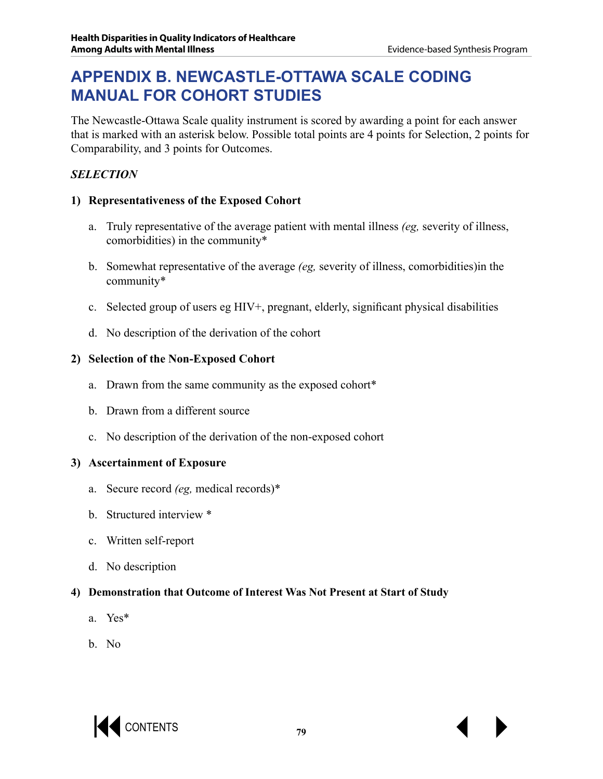## **APPENDIX B. NEWCASTLE-OTTAWA SCALE CODING MANUAL FOR COHORT STUDIES**

The Newcastle-Ottawa Scale quality instrument is scored by awarding a point for each answer that is marked with an asterisk below. Possible total points are 4 points for Selection, 2 points for Comparability, and 3 points for Outcomes.

#### *SELECTION*

#### **1) Representativeness of the Exposed Cohort**

- a. Truly representative of the average patient with mental illness *(eg,* severity of illness, comorbidities) in the community\*
- b. Somewhat representative of the average *(eg,* severity of illness, comorbidities)in the community\*
- c. Selected group of users eg HIV+, pregnant, elderly, significant physical disabilities
- d. No description of the derivation of the cohort

#### **2) Selection of the Non-Exposed Cohort**

- a. Drawn from the same community as the exposed cohort\*
- b. Drawn from a different source
- c. No description of the derivation of the non-exposed cohort

#### **3) Ascertainment of Exposure**

- a. Secure record *(eg,* medical records)\*
- b. Structured interview \*
- c. Written self-report
- d. No description

#### **4) Demonstration that Outcome of Interest Was Not Present at Start of Study**

- a. Yes\*
- b. No

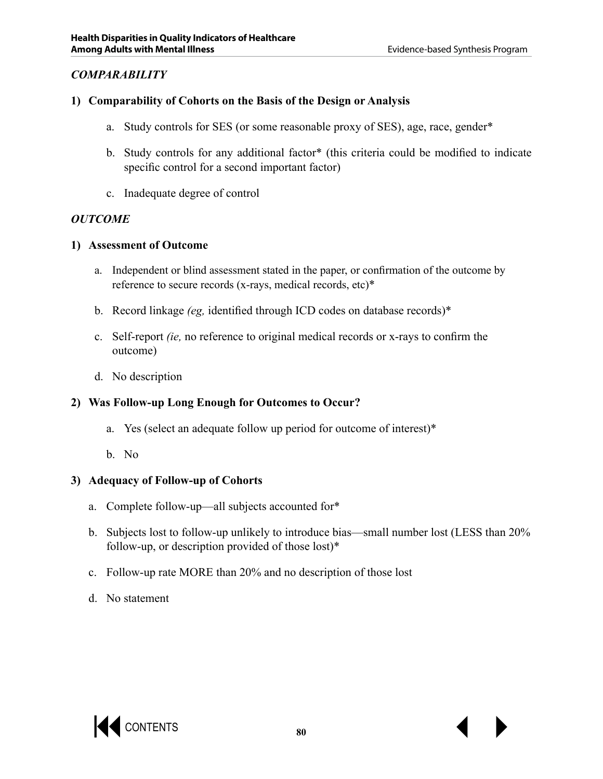#### *COMPARABILITY*

#### **1) Comparability of Cohorts on the Basis of the Design or Analysis**

- a. Study controls for SES (or some reasonable proxy of SES), age, race, gender\*
- b. Study controls for any additional factor\* (this criteria could be modified to indicate specific control for a second important factor)
- c. Inadequate degree of control

#### *OUTCOME*

#### **1) Assessment of Outcome**

- a. Independent or blind assessment stated in the paper, or confirmation of the outcome by reference to secure records (x-rays, medical records, etc)\*
- b. Record linkage *(eg,* identified through ICD codes on database records)\*
- c. Self-report *(ie,* no reference to original medical records or x-rays to confirm the outcome)
- d. No description

#### **2) Was Follow-up Long Enough for Outcomes to Occur?**

- a. Yes (select an adequate follow up period for outcome of interest)\*
- b. No

#### **3) Adequacy of Follow-up of Cohorts**

- a. Complete follow-up—all subjects accounted for\*
- b. Subjects lost to follow-up unlikely to introduce bias—small number lost (LESS than 20% follow-up, or description provided of those lost)\*
- c. Follow-up rate MORE than 20% and no description of those lost
- d. No statement

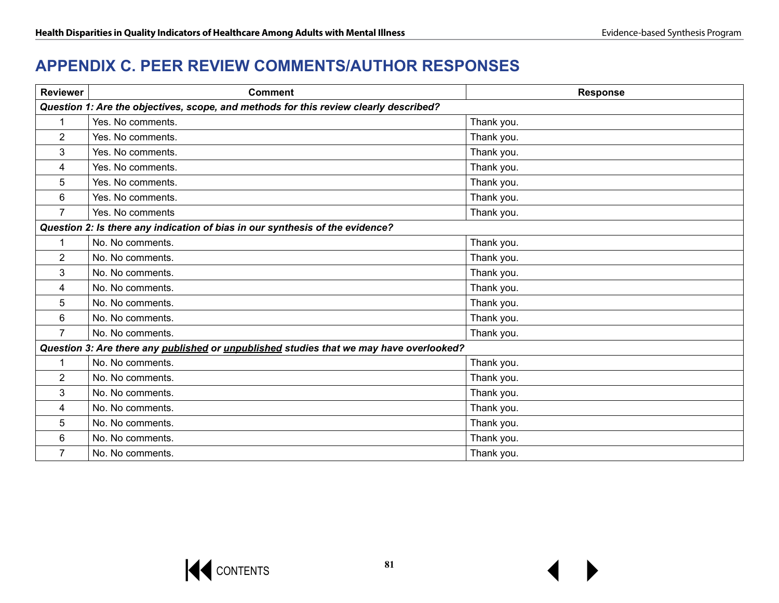### **APPENDIX C. PEER REVIEW COMMENTS/AUTHOR RESPONSES**

| <b>Reviewer</b>                                                                       | <b>Comment</b>                                                                          | <b>Response</b> |
|---------------------------------------------------------------------------------------|-----------------------------------------------------------------------------------------|-----------------|
| Question 1: Are the objectives, scope, and methods for this review clearly described? |                                                                                         |                 |
| $\mathbf{1}$                                                                          | Yes. No comments.                                                                       | Thank you.      |
| $\overline{2}$                                                                        | Yes. No comments.                                                                       | Thank you.      |
| 3                                                                                     | Yes. No comments.                                                                       | Thank you.      |
| 4                                                                                     | Yes. No comments.                                                                       | Thank you.      |
| 5                                                                                     | Yes. No comments.                                                                       | Thank you.      |
| 6                                                                                     | Yes. No comments.                                                                       | Thank you.      |
| $\overline{7}$                                                                        | Yes. No comments                                                                        | Thank you.      |
| Question 2: Is there any indication of bias in our synthesis of the evidence?         |                                                                                         |                 |
| 1                                                                                     | No. No comments.                                                                        | Thank you.      |
| $\overline{2}$                                                                        | No. No comments.                                                                        | Thank you.      |
| 3                                                                                     | No. No comments.                                                                        | Thank you.      |
| 4                                                                                     | No. No comments.                                                                        | Thank you.      |
| 5                                                                                     | No. No comments.                                                                        | Thank you.      |
| 6                                                                                     | No. No comments.                                                                        | Thank you.      |
| $\overline{7}$                                                                        | No. No comments.                                                                        | Thank you.      |
|                                                                                       | Question 3: Are there any published or unpublished studies that we may have overlooked? |                 |
| 1                                                                                     | No. No comments.                                                                        | Thank you.      |
| $\overline{2}$                                                                        | No. No comments.                                                                        | Thank you.      |
| 3                                                                                     | No. No comments.                                                                        | Thank you.      |
| 4                                                                                     | No. No comments.                                                                        | Thank you.      |
| 5                                                                                     | No. No comments.                                                                        | Thank you.      |
| 6                                                                                     | No. No comments.                                                                        | Thank you.      |
| $\overline{7}$                                                                        | No. No comments.                                                                        | Thank you.      |

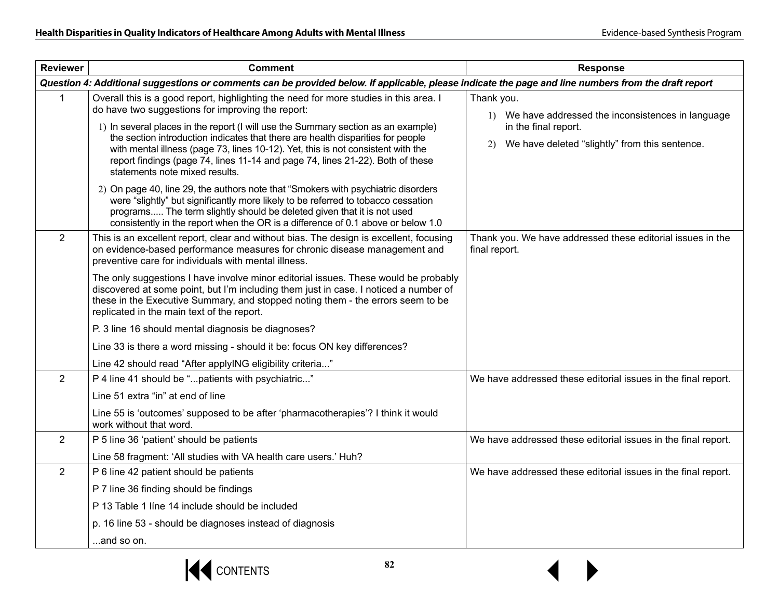| <b>Reviewer</b>                                                                                                                                      | <b>Comment</b>                                                                                                                                                                                                                                                                                                                                                                                                                                                                                                                                                                                                                                                                                                                                                                                                                                                     | <b>Response</b>                                                                                                                                   |
|------------------------------------------------------------------------------------------------------------------------------------------------------|--------------------------------------------------------------------------------------------------------------------------------------------------------------------------------------------------------------------------------------------------------------------------------------------------------------------------------------------------------------------------------------------------------------------------------------------------------------------------------------------------------------------------------------------------------------------------------------------------------------------------------------------------------------------------------------------------------------------------------------------------------------------------------------------------------------------------------------------------------------------|---------------------------------------------------------------------------------------------------------------------------------------------------|
| Question 4: Additional suggestions or comments can be provided below. If applicable, please indicate the page and line numbers from the draft report |                                                                                                                                                                                                                                                                                                                                                                                                                                                                                                                                                                                                                                                                                                                                                                                                                                                                    |                                                                                                                                                   |
| 1                                                                                                                                                    | Overall this is a good report, highlighting the need for more studies in this area. I<br>do have two suggestions for improving the report:<br>1) In several places in the report (I will use the Summary section as an example)<br>the section introduction indicates that there are health disparities for people<br>with mental illness (page 73, lines 10-12). Yet, this is not consistent with the<br>report findings (page 74, lines 11-14 and page 74, lines 21-22). Both of these<br>statements note mixed results.<br>2) On page 40, line 29, the authors note that "Smokers with psychiatric disorders<br>were "slightly" but significantly more likely to be referred to tobacco cessation<br>programs The term slightly should be deleted given that it is not used<br>consistently in the report when the OR is a difference of 0.1 above or below 1.0 | Thank you.<br>1) We have addressed the inconsistences in language<br>in the final report.<br>We have deleted "slightly" from this sentence.<br>2) |
| $\overline{2}$                                                                                                                                       | This is an excellent report, clear and without bias. The design is excellent, focusing<br>on evidence-based performance measures for chronic disease management and<br>preventive care for individuals with mental illness.                                                                                                                                                                                                                                                                                                                                                                                                                                                                                                                                                                                                                                        | Thank you. We have addressed these editorial issues in the<br>final report.                                                                       |
|                                                                                                                                                      | The only suggestions I have involve minor editorial issues. These would be probably<br>discovered at some point, but I'm including them just in case. I noticed a number of<br>these in the Executive Summary, and stopped noting them - the errors seem to be<br>replicated in the main text of the report.                                                                                                                                                                                                                                                                                                                                                                                                                                                                                                                                                       |                                                                                                                                                   |
|                                                                                                                                                      | P. 3 line 16 should mental diagnosis be diagnoses?                                                                                                                                                                                                                                                                                                                                                                                                                                                                                                                                                                                                                                                                                                                                                                                                                 |                                                                                                                                                   |
|                                                                                                                                                      | Line 33 is there a word missing - should it be: focus ON key differences?                                                                                                                                                                                                                                                                                                                                                                                                                                                                                                                                                                                                                                                                                                                                                                                          |                                                                                                                                                   |
|                                                                                                                                                      | Line 42 should read "After applyING eligibility criteria"                                                                                                                                                                                                                                                                                                                                                                                                                                                                                                                                                                                                                                                                                                                                                                                                          |                                                                                                                                                   |
| $\overline{2}$                                                                                                                                       | P 4 line 41 should be "patients with psychiatric"                                                                                                                                                                                                                                                                                                                                                                                                                                                                                                                                                                                                                                                                                                                                                                                                                  | We have addressed these editorial issues in the final report.                                                                                     |
|                                                                                                                                                      | Line 51 extra "in" at end of line                                                                                                                                                                                                                                                                                                                                                                                                                                                                                                                                                                                                                                                                                                                                                                                                                                  |                                                                                                                                                   |
|                                                                                                                                                      | Line 55 is 'outcomes' supposed to be after 'pharmacotherapies'? I think it would<br>work without that word.                                                                                                                                                                                                                                                                                                                                                                                                                                                                                                                                                                                                                                                                                                                                                        |                                                                                                                                                   |
| $\overline{2}$                                                                                                                                       | P 5 line 36 'patient' should be patients                                                                                                                                                                                                                                                                                                                                                                                                                                                                                                                                                                                                                                                                                                                                                                                                                           | We have addressed these editorial issues in the final report.                                                                                     |
|                                                                                                                                                      | Line 58 fragment: 'All studies with VA health care users.' Huh?                                                                                                                                                                                                                                                                                                                                                                                                                                                                                                                                                                                                                                                                                                                                                                                                    |                                                                                                                                                   |
| $\overline{2}$                                                                                                                                       | P 6 line 42 patient should be patients                                                                                                                                                                                                                                                                                                                                                                                                                                                                                                                                                                                                                                                                                                                                                                                                                             | We have addressed these editorial issues in the final report.                                                                                     |
|                                                                                                                                                      | P 7 line 36 finding should be findings                                                                                                                                                                                                                                                                                                                                                                                                                                                                                                                                                                                                                                                                                                                                                                                                                             |                                                                                                                                                   |
|                                                                                                                                                      | P 13 Table 1 line 14 include should be included                                                                                                                                                                                                                                                                                                                                                                                                                                                                                                                                                                                                                                                                                                                                                                                                                    |                                                                                                                                                   |
|                                                                                                                                                      | p. 16 line 53 - should be diagnoses instead of diagnosis                                                                                                                                                                                                                                                                                                                                                                                                                                                                                                                                                                                                                                                                                                                                                                                                           |                                                                                                                                                   |
|                                                                                                                                                      | and so on.                                                                                                                                                                                                                                                                                                                                                                                                                                                                                                                                                                                                                                                                                                                                                                                                                                                         |                                                                                                                                                   |

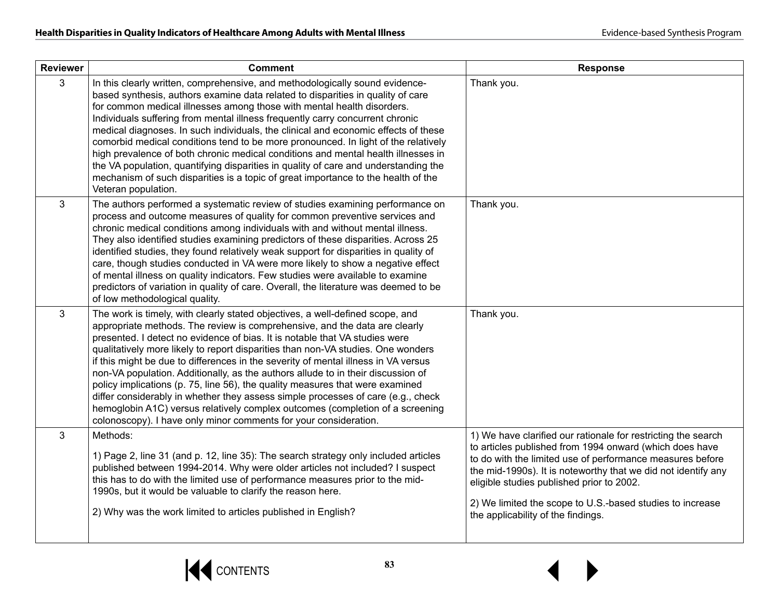| <b>Reviewer</b> | <b>Comment</b>                                                                                                                                                                                                                                                                                                                                                                                                                                                                                                                                                                                                                                                                                                                                                                                                                     | <b>Response</b>                                                                                                                                                                                                                                                                                                                                                                                        |
|-----------------|------------------------------------------------------------------------------------------------------------------------------------------------------------------------------------------------------------------------------------------------------------------------------------------------------------------------------------------------------------------------------------------------------------------------------------------------------------------------------------------------------------------------------------------------------------------------------------------------------------------------------------------------------------------------------------------------------------------------------------------------------------------------------------------------------------------------------------|--------------------------------------------------------------------------------------------------------------------------------------------------------------------------------------------------------------------------------------------------------------------------------------------------------------------------------------------------------------------------------------------------------|
| 3               | In this clearly written, comprehensive, and methodologically sound evidence-<br>based synthesis, authors examine data related to disparities in quality of care<br>for common medical illnesses among those with mental health disorders.<br>Individuals suffering from mental illness frequently carry concurrent chronic<br>medical diagnoses. In such individuals, the clinical and economic effects of these<br>comorbid medical conditions tend to be more pronounced. In light of the relatively<br>high prevalence of both chronic medical conditions and mental health illnesses in<br>the VA population, quantifying disparities in quality of care and understanding the<br>mechanism of such disparities is a topic of great importance to the health of the<br>Veteran population.                                     | Thank you.                                                                                                                                                                                                                                                                                                                                                                                             |
| 3               | The authors performed a systematic review of studies examining performance on<br>process and outcome measures of quality for common preventive services and<br>chronic medical conditions among individuals with and without mental illness.<br>They also identified studies examining predictors of these disparities. Across 25<br>identified studies, they found relatively weak support for disparities in quality of<br>care, though studies conducted in VA were more likely to show a negative effect<br>of mental illness on quality indicators. Few studies were available to examine<br>predictors of variation in quality of care. Overall, the literature was deemed to be<br>of low methodological quality.                                                                                                           | Thank you.                                                                                                                                                                                                                                                                                                                                                                                             |
| 3               | The work is timely, with clearly stated objectives, a well-defined scope, and<br>appropriate methods. The review is comprehensive, and the data are clearly<br>presented. I detect no evidence of bias. It is notable that VA studies were<br>qualitatively more likely to report disparities than non-VA studies. One wonders<br>if this might be due to differences in the severity of mental illness in VA versus<br>non-VA population. Additionally, as the authors allude to in their discussion of<br>policy implications (p. 75, line 56), the quality measures that were examined<br>differ considerably in whether they assess simple processes of care (e.g., check<br>hemoglobin A1C) versus relatively complex outcomes (completion of a screening<br>colonoscopy). I have only minor comments for your consideration. | Thank you.                                                                                                                                                                                                                                                                                                                                                                                             |
| 3               | Methods:<br>1) Page 2, line 31 (and p. 12, line 35): The search strategy only included articles<br>published between 1994-2014. Why were older articles not included? I suspect<br>this has to do with the limited use of performance measures prior to the mid-<br>1990s, but it would be valuable to clarify the reason here.<br>2) Why was the work limited to articles published in English?                                                                                                                                                                                                                                                                                                                                                                                                                                   | 1) We have clarified our rationale for restricting the search<br>to articles published from 1994 onward (which does have<br>to do with the limited use of performance measures before<br>the mid-1990s). It is noteworthy that we did not identify any<br>eligible studies published prior to 2002.<br>2) We limited the scope to U.S.-based studies to increase<br>the applicability of the findings. |



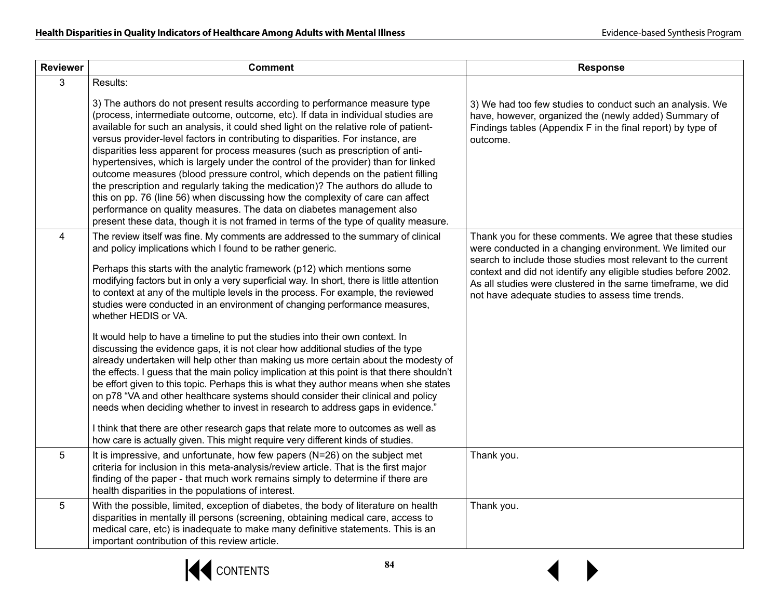| <b>Reviewer</b> | <b>Comment</b>                                                                                                                                                                                                                                                                                                                                                                                                                                                                                                                                                                                                                                                                                                                                                                                                                                                                                                                            | <b>Response</b>                                                                                                                                                                                                                                                                                                                                                            |
|-----------------|-------------------------------------------------------------------------------------------------------------------------------------------------------------------------------------------------------------------------------------------------------------------------------------------------------------------------------------------------------------------------------------------------------------------------------------------------------------------------------------------------------------------------------------------------------------------------------------------------------------------------------------------------------------------------------------------------------------------------------------------------------------------------------------------------------------------------------------------------------------------------------------------------------------------------------------------|----------------------------------------------------------------------------------------------------------------------------------------------------------------------------------------------------------------------------------------------------------------------------------------------------------------------------------------------------------------------------|
| 3               | Results:                                                                                                                                                                                                                                                                                                                                                                                                                                                                                                                                                                                                                                                                                                                                                                                                                                                                                                                                  |                                                                                                                                                                                                                                                                                                                                                                            |
|                 | 3) The authors do not present results according to performance measure type<br>(process, intermediate outcome, outcome, etc). If data in individual studies are<br>available for such an analysis, it could shed light on the relative role of patient-<br>versus provider-level factors in contributing to disparities. For instance, are<br>disparities less apparent for process measures (such as prescription of anti-<br>hypertensives, which is largely under the control of the provider) than for linked<br>outcome measures (blood pressure control, which depends on the patient filling<br>the prescription and regularly taking the medication)? The authors do allude to<br>this on pp. 76 (line 56) when discussing how the complexity of care can affect<br>performance on quality measures. The data on diabetes management also<br>present these data, though it is not framed in terms of the type of quality measure. | 3) We had too few studies to conduct such an analysis. We<br>have, however, organized the (newly added) Summary of<br>Findings tables (Appendix F in the final report) by type of<br>outcome.                                                                                                                                                                              |
| $\overline{4}$  | The review itself was fine. My comments are addressed to the summary of clinical<br>and policy implications which I found to be rather generic.<br>Perhaps this starts with the analytic framework (p12) which mentions some<br>modifying factors but in only a very superficial way. In short, there is little attention<br>to context at any of the multiple levels in the process. For example, the reviewed<br>studies were conducted in an environment of changing performance measures,<br>whether HEDIS or VA.                                                                                                                                                                                                                                                                                                                                                                                                                     | Thank you for these comments. We agree that these studies<br>were conducted in a changing environment. We limited our<br>search to include those studies most relevant to the current<br>context and did not identify any eligible studies before 2002.<br>As all studies were clustered in the same timeframe, we did<br>not have adequate studies to assess time trends. |
|                 | It would help to have a timeline to put the studies into their own context. In<br>discussing the evidence gaps, it is not clear how additional studies of the type<br>already undertaken will help other than making us more certain about the modesty of<br>the effects. I guess that the main policy implication at this point is that there shouldn't<br>be effort given to this topic. Perhaps this is what they author means when she states<br>on p78 "VA and other healthcare systems should consider their clinical and policy<br>needs when deciding whether to invest in research to address gaps in evidence."<br>I think that there are other research gaps that relate more to outcomes as well as<br>how care is actually given. This might require very different kinds of studies.                                                                                                                                        |                                                                                                                                                                                                                                                                                                                                                                            |
| 5               | It is impressive, and unfortunate, how few papers (N=26) on the subject met<br>criteria for inclusion in this meta-analysis/review article. That is the first major<br>finding of the paper - that much work remains simply to determine if there are<br>health disparities in the populations of interest.                                                                                                                                                                                                                                                                                                                                                                                                                                                                                                                                                                                                                               | Thank you.                                                                                                                                                                                                                                                                                                                                                                 |
| 5               | With the possible, limited, exception of diabetes, the body of literature on health<br>disparities in mentally ill persons (screening, obtaining medical care, access to<br>medical care, etc) is inadequate to make many definitive statements. This is an<br>important contribution of this review article.                                                                                                                                                                                                                                                                                                                                                                                                                                                                                                                                                                                                                             | Thank you.                                                                                                                                                                                                                                                                                                                                                                 |

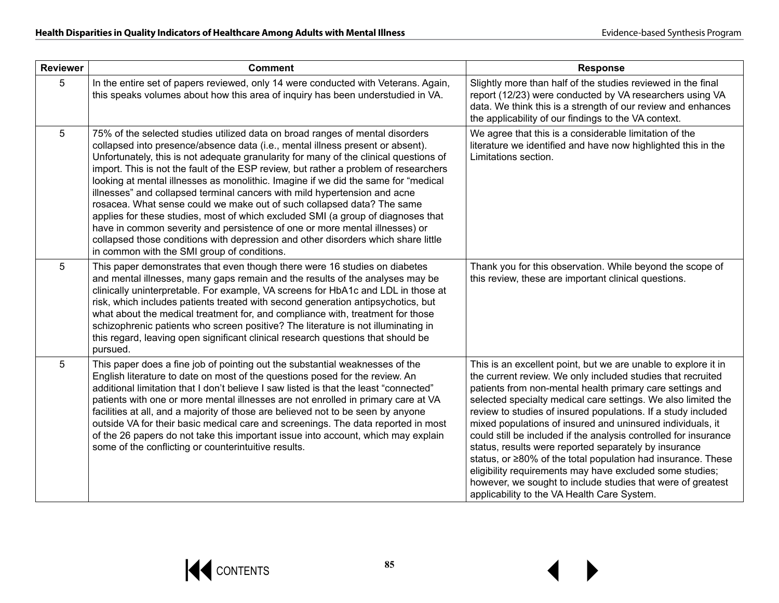| <b>Reviewer</b> | <b>Comment</b>                                                                                                                                                                                                                                                                                                                                                                                                                                                                                                                                                                                                                                                                                                                                                                                                                                                                                       | <b>Response</b>                                                                                                                                                                                                                                                                                                                                                                                                                                                                                                                                                                                                                                                                                                                                                   |
|-----------------|------------------------------------------------------------------------------------------------------------------------------------------------------------------------------------------------------------------------------------------------------------------------------------------------------------------------------------------------------------------------------------------------------------------------------------------------------------------------------------------------------------------------------------------------------------------------------------------------------------------------------------------------------------------------------------------------------------------------------------------------------------------------------------------------------------------------------------------------------------------------------------------------------|-------------------------------------------------------------------------------------------------------------------------------------------------------------------------------------------------------------------------------------------------------------------------------------------------------------------------------------------------------------------------------------------------------------------------------------------------------------------------------------------------------------------------------------------------------------------------------------------------------------------------------------------------------------------------------------------------------------------------------------------------------------------|
| 5               | In the entire set of papers reviewed, only 14 were conducted with Veterans. Again,<br>this speaks volumes about how this area of inquiry has been understudied in VA.                                                                                                                                                                                                                                                                                                                                                                                                                                                                                                                                                                                                                                                                                                                                | Slightly more than half of the studies reviewed in the final<br>report (12/23) were conducted by VA researchers using VA<br>data. We think this is a strength of our review and enhances<br>the applicability of our findings to the VA context.                                                                                                                                                                                                                                                                                                                                                                                                                                                                                                                  |
| 5               | 75% of the selected studies utilized data on broad ranges of mental disorders<br>collapsed into presence/absence data (i.e., mental illness present or absent).<br>Unfortunately, this is not adequate granularity for many of the clinical questions of<br>import. This is not the fault of the ESP review, but rather a problem of researchers<br>looking at mental illnesses as monolithic. Imagine if we did the same for "medical<br>illnesses" and collapsed terminal cancers with mild hypertension and acne<br>rosacea. What sense could we make out of such collapsed data? The same<br>applies for these studies, most of which excluded SMI (a group of diagnoses that<br>have in common severity and persistence of one or more mental illnesses) or<br>collapsed those conditions with depression and other disorders which share little<br>in common with the SMI group of conditions. | We agree that this is a considerable limitation of the<br>literature we identified and have now highlighted this in the<br>Limitations section.                                                                                                                                                                                                                                                                                                                                                                                                                                                                                                                                                                                                                   |
| 5               | This paper demonstrates that even though there were 16 studies on diabetes<br>and mental illnesses, many gaps remain and the results of the analyses may be<br>clinically uninterpretable. For example, VA screens for HbA1c and LDL in those at<br>risk, which includes patients treated with second generation antipsychotics, but<br>what about the medical treatment for, and compliance with, treatment for those<br>schizophrenic patients who screen positive? The literature is not illuminating in<br>this regard, leaving open significant clinical research questions that should be<br>pursued.                                                                                                                                                                                                                                                                                          | Thank you for this observation. While beyond the scope of<br>this review, these are important clinical questions.                                                                                                                                                                                                                                                                                                                                                                                                                                                                                                                                                                                                                                                 |
| 5               | This paper does a fine job of pointing out the substantial weaknesses of the<br>English literature to date on most of the questions posed for the review. An<br>additional limitation that I don't believe I saw listed is that the least "connected"<br>patients with one or more mental illnesses are not enrolled in primary care at VA<br>facilities at all, and a majority of those are believed not to be seen by anyone<br>outside VA for their basic medical care and screenings. The data reported in most<br>of the 26 papers do not take this important issue into account, which may explain<br>some of the conflicting or counterintuitive results.                                                                                                                                                                                                                                     | This is an excellent point, but we are unable to explore it in<br>the current review. We only included studies that recruited<br>patients from non-mental health primary care settings and<br>selected specialty medical care settings. We also limited the<br>review to studies of insured populations. If a study included<br>mixed populations of insured and uninsured individuals, it<br>could still be included if the analysis controlled for insurance<br>status, results were reported separately by insurance<br>status, or ≥80% of the total population had insurance. These<br>eligibility requirements may have excluded some studies;<br>however, we sought to include studies that were of greatest<br>applicability to the VA Health Care System. |

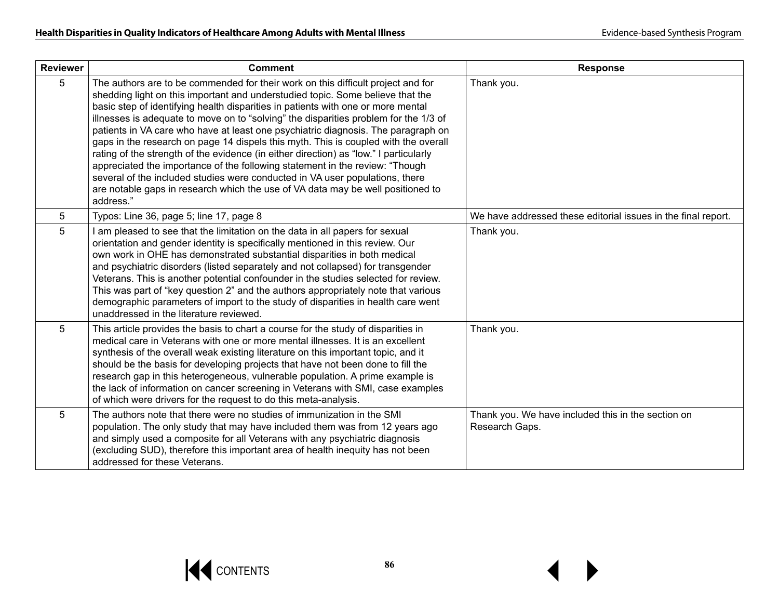| <b>Reviewer</b> | <b>Comment</b>                                                                                                                                                                                                                                                                                                                                                                                                                                                                                                                                                                                                                                                                                                                                                                                                                                                                      | <b>Response</b>                                                      |
|-----------------|-------------------------------------------------------------------------------------------------------------------------------------------------------------------------------------------------------------------------------------------------------------------------------------------------------------------------------------------------------------------------------------------------------------------------------------------------------------------------------------------------------------------------------------------------------------------------------------------------------------------------------------------------------------------------------------------------------------------------------------------------------------------------------------------------------------------------------------------------------------------------------------|----------------------------------------------------------------------|
| 5               | The authors are to be commended for their work on this difficult project and for<br>shedding light on this important and understudied topic. Some believe that the<br>basic step of identifying health disparities in patients with one or more mental<br>illnesses is adequate to move on to "solving" the disparities problem for the 1/3 of<br>patients in VA care who have at least one psychiatric diagnosis. The paragraph on<br>gaps in the research on page 14 dispels this myth. This is coupled with the overall<br>rating of the strength of the evidence (in either direction) as "low." I particularly<br>appreciated the importance of the following statement in the review: "Though<br>several of the included studies were conducted in VA user populations, there<br>are notable gaps in research which the use of VA data may be well positioned to<br>address." | Thank you.                                                           |
| 5               | Typos: Line 36, page 5; line 17, page 8                                                                                                                                                                                                                                                                                                                                                                                                                                                                                                                                                                                                                                                                                                                                                                                                                                             | We have addressed these editorial issues in the final report.        |
| 5               | am pleased to see that the limitation on the data in all papers for sexual<br>orientation and gender identity is specifically mentioned in this review. Our<br>own work in OHE has demonstrated substantial disparities in both medical<br>and psychiatric disorders (listed separately and not collapsed) for transgender<br>Veterans. This is another potential confounder in the studies selected for review.<br>This was part of "key question 2" and the authors appropriately note that various<br>demographic parameters of import to the study of disparities in health care went<br>unaddressed in the literature reviewed.                                                                                                                                                                                                                                                | Thank you.                                                           |
| 5               | This article provides the basis to chart a course for the study of disparities in<br>medical care in Veterans with one or more mental illnesses. It is an excellent<br>synthesis of the overall weak existing literature on this important topic, and it<br>should be the basis for developing projects that have not been done to fill the<br>research gap in this heterogeneous, vulnerable population. A prime example is<br>the lack of information on cancer screening in Veterans with SMI, case examples<br>of which were drivers for the request to do this meta-analysis.                                                                                                                                                                                                                                                                                                  | Thank you.                                                           |
| 5               | The authors note that there were no studies of immunization in the SMI<br>population. The only study that may have included them was from 12 years ago<br>and simply used a composite for all Veterans with any psychiatric diagnosis<br>(excluding SUD), therefore this important area of health inequity has not been<br>addressed for these Veterans.                                                                                                                                                                                                                                                                                                                                                                                                                                                                                                                            | Thank you. We have included this in the section on<br>Research Gaps. |

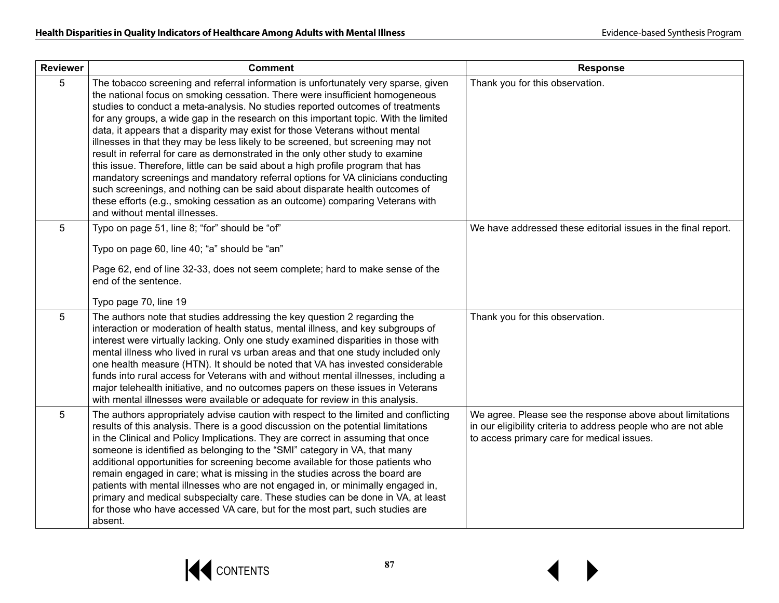| <b>Reviewer</b> | <b>Comment</b>                                                                                                                                                                                                                                                                                                                                                                                                                                                                                                                                                                                                                                                                                                                                                                                                                                                                                                                                                             | <b>Response</b>                                                                                                                                                           |
|-----------------|----------------------------------------------------------------------------------------------------------------------------------------------------------------------------------------------------------------------------------------------------------------------------------------------------------------------------------------------------------------------------------------------------------------------------------------------------------------------------------------------------------------------------------------------------------------------------------------------------------------------------------------------------------------------------------------------------------------------------------------------------------------------------------------------------------------------------------------------------------------------------------------------------------------------------------------------------------------------------|---------------------------------------------------------------------------------------------------------------------------------------------------------------------------|
| 5               | The tobacco screening and referral information is unfortunately very sparse, given<br>the national focus on smoking cessation. There were insufficient homogeneous<br>studies to conduct a meta-analysis. No studies reported outcomes of treatments<br>for any groups, a wide gap in the research on this important topic. With the limited<br>data, it appears that a disparity may exist for those Veterans without mental<br>illnesses in that they may be less likely to be screened, but screening may not<br>result in referral for care as demonstrated in the only other study to examine<br>this issue. Therefore, little can be said about a high profile program that has<br>mandatory screenings and mandatory referral options for VA clinicians conducting<br>such screenings, and nothing can be said about disparate health outcomes of<br>these efforts (e.g., smoking cessation as an outcome) comparing Veterans with<br>and without mental illnesses. | Thank you for this observation.                                                                                                                                           |
| 5               | Typo on page 51, line 8; "for" should be "of"<br>Typo on page 60, line 40; "a" should be "an"<br>Page 62, end of line 32-33, does not seem complete; hard to make sense of the<br>end of the sentence.<br>Typo page 70, line 19                                                                                                                                                                                                                                                                                                                                                                                                                                                                                                                                                                                                                                                                                                                                            | We have addressed these editorial issues in the final report.                                                                                                             |
| 5               | The authors note that studies addressing the key question 2 regarding the<br>interaction or moderation of health status, mental illness, and key subgroups of<br>interest were virtually lacking. Only one study examined disparities in those with<br>mental illness who lived in rural vs urban areas and that one study included only<br>one health measure (HTN). It should be noted that VA has invested considerable<br>funds into rural access for Veterans with and without mental illnesses, including a<br>major telehealth initiative, and no outcomes papers on these issues in Veterans<br>with mental illnesses were available or adequate for review in this analysis.                                                                                                                                                                                                                                                                                      | Thank you for this observation.                                                                                                                                           |
| 5               | The authors appropriately advise caution with respect to the limited and conflicting<br>results of this analysis. There is a good discussion on the potential limitations<br>in the Clinical and Policy Implications. They are correct in assuming that once<br>someone is identified as belonging to the "SMI" category in VA, that many<br>additional opportunities for screening become available for those patients who<br>remain engaged in care; what is missing in the studies across the board are<br>patients with mental illnesses who are not engaged in, or minimally engaged in,<br>primary and medical subspecialty care. These studies can be done in VA, at least<br>for those who have accessed VA care, but for the most part, such studies are<br>absent.                                                                                                                                                                                               | We agree. Please see the response above about limitations<br>in our eligibility criteria to address people who are not able<br>to access primary care for medical issues. |

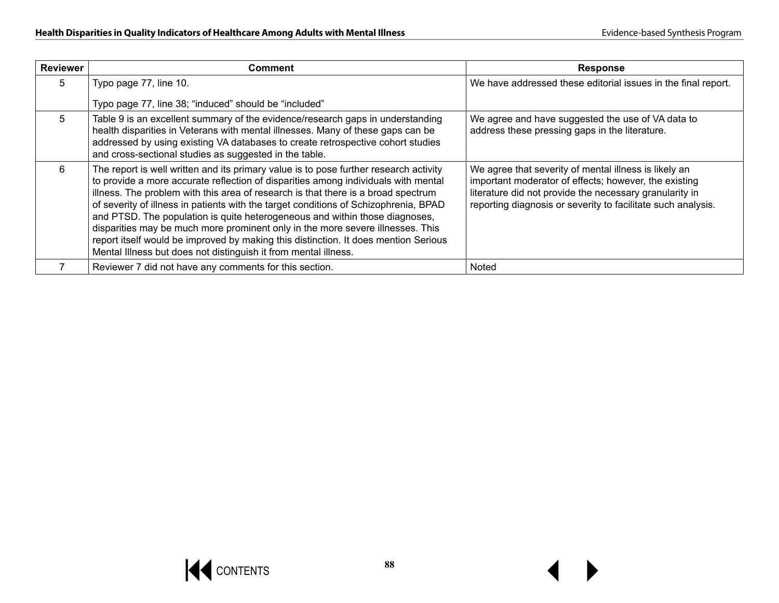| <b>Reviewer</b> | Comment                                                                                                                                                                                                                                                                                                                                                                                                                                                                                                                                                                                                                                                                             | <b>Response</b>                                                                                                                                                                                                                           |
|-----------------|-------------------------------------------------------------------------------------------------------------------------------------------------------------------------------------------------------------------------------------------------------------------------------------------------------------------------------------------------------------------------------------------------------------------------------------------------------------------------------------------------------------------------------------------------------------------------------------------------------------------------------------------------------------------------------------|-------------------------------------------------------------------------------------------------------------------------------------------------------------------------------------------------------------------------------------------|
| 5.              | Typo page 77, line 10.                                                                                                                                                                                                                                                                                                                                                                                                                                                                                                                                                                                                                                                              | We have addressed these editorial issues in the final report.                                                                                                                                                                             |
|                 | Typo page 77, line 38; "induced" should be "included"                                                                                                                                                                                                                                                                                                                                                                                                                                                                                                                                                                                                                               |                                                                                                                                                                                                                                           |
| 5               | Table 9 is an excellent summary of the evidence/research gaps in understanding<br>health disparities in Veterans with mental illnesses. Many of these gaps can be<br>addressed by using existing VA databases to create retrospective cohort studies<br>and cross-sectional studies as suggested in the table.                                                                                                                                                                                                                                                                                                                                                                      | We agree and have suggested the use of VA data to<br>address these pressing gaps in the literature.                                                                                                                                       |
| 6.              | The report is well written and its primary value is to pose further research activity<br>to provide a more accurate reflection of disparities among individuals with mental<br>illness. The problem with this area of research is that there is a broad spectrum<br>of severity of illness in patients with the target conditions of Schizophrenia, BPAD<br>and PTSD. The population is quite heterogeneous and within those diagnoses,<br>disparities may be much more prominent only in the more severe illnesses. This<br>report itself would be improved by making this distinction. It does mention Serious<br>Mental Illness but does not distinguish it from mental illness. | We agree that severity of mental illness is likely an<br>important moderator of effects; however, the existing<br>literature did not provide the necessary granularity in<br>reporting diagnosis or severity to facilitate such analysis. |
|                 | Reviewer 7 did not have any comments for this section.                                                                                                                                                                                                                                                                                                                                                                                                                                                                                                                                                                                                                              | <b>Noted</b>                                                                                                                                                                                                                              |

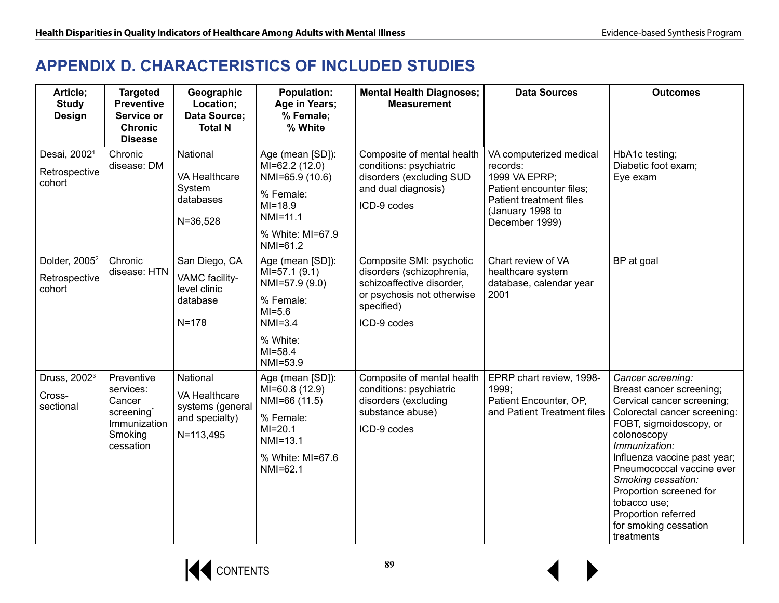## **APPENDIX D. CHARACTERISTICS OF INCLUDED STUDIES**

| Article;<br><b>Study</b><br><b>Design</b>            | <b>Targeted</b><br><b>Preventive</b><br>Service or<br><b>Chronic</b><br><b>Disease</b>  | Geographic<br>Location;<br>Data Source;<br><b>Total N</b>                    | <b>Population:</b><br>Age in Years;<br>% Female;<br>% White                                                                          | <b>Mental Health Diagnoses;</b><br><b>Measurement</b>                                                                                         | <b>Data Sources</b>                                                                                                                               | <b>Outcomes</b>                                                                                                                                                                                                                                                                                                                                                    |
|------------------------------------------------------|-----------------------------------------------------------------------------------------|------------------------------------------------------------------------------|--------------------------------------------------------------------------------------------------------------------------------------|-----------------------------------------------------------------------------------------------------------------------------------------------|---------------------------------------------------------------------------------------------------------------------------------------------------|--------------------------------------------------------------------------------------------------------------------------------------------------------------------------------------------------------------------------------------------------------------------------------------------------------------------------------------------------------------------|
| Desai, 2002 <sup>1</sup><br>Retrospective<br>cohort  | Chronic<br>disease: DM                                                                  | National<br>VA Healthcare<br>System<br>databases<br>$N = 36,528$             | Age (mean [SD]):<br>MI=62.2 (12.0)<br>NMI=65.9 (10.6)<br>% Female:<br>$MI = 18.9$<br>$NMI = 11.1$<br>% White: MI=67.9<br>$NM = 61.2$ | Composite of mental health<br>conditions: psychiatric<br>disorders (excluding SUD<br>and dual diagnosis)<br>ICD-9 codes                       | VA computerized medical<br>records:<br>1999 VA EPRP;<br>Patient encounter files;<br>Patient treatment files<br>(January 1998 to<br>December 1999) | HbA1c testing;<br>Diabetic foot exam;<br>Eye exam                                                                                                                                                                                                                                                                                                                  |
| Dolder, 2005 <sup>2</sup><br>Retrospective<br>cohort | Chronic<br>disease: HTN                                                                 | San Diego, CA<br>VAMC facility-<br>level clinic<br>database<br>$N = 178$     | Age (mean [SD]):<br>$MI=57.1(9.1)$<br>NMI=57.9 (9.0)<br>% Female:<br>$MI=5.6$<br>$NM = 3.4$<br>% White:<br>$MI = 58.4$<br>NMI=53.9   | Composite SMI: psychotic<br>disorders (schizophrenia,<br>schizoaffective disorder,<br>or psychosis not otherwise<br>specified)<br>ICD-9 codes | Chart review of VA<br>healthcare system<br>database, calendar year<br>2001                                                                        | BP at goal                                                                                                                                                                                                                                                                                                                                                         |
| Druss, 2002 <sup>3</sup><br>Cross-<br>sectional      | Preventive<br>services:<br>Cancer<br>screening*<br>Immunization<br>Smoking<br>cessation | National<br>VA Healthcare<br>systems (general<br>and specialty)<br>N=113,495 | Age (mean [SD]):<br>MI=60.8 (12.9)<br>NMI=66 (11.5)<br>% Female:<br>$MI = 20.1$<br>$NM=13.1$<br>% White: MI=67.6<br>NMI=62.1         | Composite of mental health<br>conditions: psychiatric<br>disorders (excluding<br>substance abuse)<br>ICD-9 codes                              | EPRP chart review, 1998-<br>1999;<br>Patient Encounter, OP,<br>and Patient Treatment files                                                        | Cancer screening:<br>Breast cancer screening;<br>Cervical cancer screening;<br>Colorectal cancer screening:<br>FOBT, sigmoidoscopy, or<br>colonoscopy<br>Immunization:<br>Influenza vaccine past year;<br>Pneumococcal vaccine ever<br>Smoking cessation:<br>Proportion screened for<br>tobacco use;<br>Proportion referred<br>for smoking cessation<br>treatments |



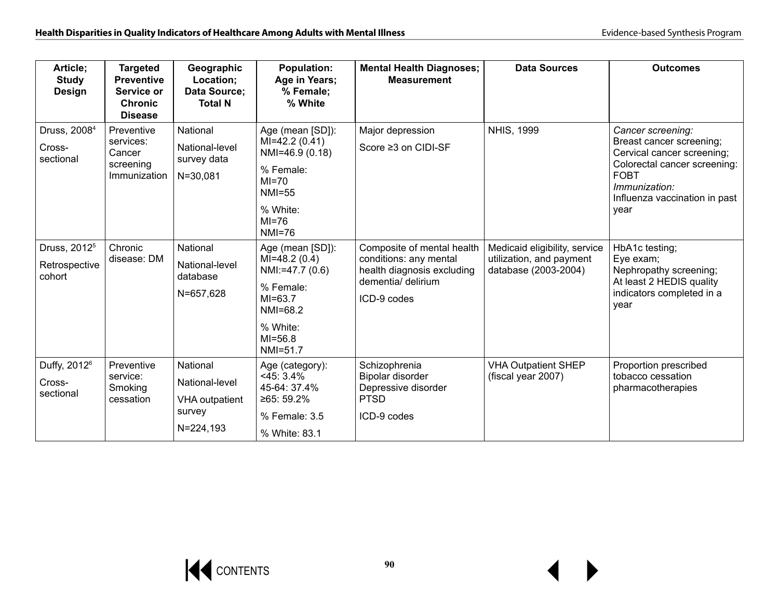| Article;<br>Study<br><b>Design</b>                  | <b>Targeted</b><br><b>Preventive</b><br>Service or<br><b>Chronic</b><br><b>Disease</b> | Geographic<br>Location;<br>Data Source:<br><b>Total N</b>                  | <b>Population:</b><br>Age in Years;<br>% Female;<br>% White                                                                        | <b>Mental Health Diagnoses;</b><br><b>Measurement</b>                                                                   | <b>Data Sources</b>                                                               | <b>Outcomes</b>                                                                                                                                                                      |
|-----------------------------------------------------|----------------------------------------------------------------------------------------|----------------------------------------------------------------------------|------------------------------------------------------------------------------------------------------------------------------------|-------------------------------------------------------------------------------------------------------------------------|-----------------------------------------------------------------------------------|--------------------------------------------------------------------------------------------------------------------------------------------------------------------------------------|
| Druss, 2008 <sup>4</sup><br>Cross-<br>sectional     | Preventive<br>services:<br>Cancer<br>screening<br>Immunization                         | National<br>National-level<br>survey data<br>$N = 30,081$                  | Age (mean [SD]):<br>$MI=42.2(0.41)$<br>NMI=46.9 (0.18)<br>% Female:<br>$MI=70$<br><b>NMI=55</b><br>% White:<br>$MI=76$<br>NMI=76   | Major depression<br>Score ≥3 on CIDI-SF                                                                                 | <b>NHIS, 1999</b>                                                                 | Cancer screening:<br>Breast cancer screening;<br>Cervical cancer screening;<br>Colorectal cancer screening:<br><b>FOBT</b><br>Immunization:<br>Influenza vaccination in past<br>year |
| Druss, 2012 <sup>5</sup><br>Retrospective<br>cohort | Chronic<br>disease: DM                                                                 | National<br>National-level<br>database<br>N=657,628                        | Age (mean [SD]):<br>$MI=48.2(0.4)$<br>NMI:=47.7 (0.6)<br>% Female:<br>$MI=63.7$<br>NMI=68.2<br>% White:<br>$MI = 56.8$<br>NMI=51.7 | Composite of mental health<br>conditions: any mental<br>health diagnosis excluding<br>dementia/ delirium<br>ICD-9 codes | Medicaid eligibility, service<br>utilization, and payment<br>database (2003-2004) | HbA1c testing;<br>Eye exam;<br>Nephropathy screening;<br>At least 2 HEDIS quality<br>indicators completed in a<br>vear                                                               |
| Duffy, 2012 <sup>6</sup><br>Cross-<br>sectional     | Preventive<br>service:<br>Smoking<br>cessation                                         | National<br>National-level<br><b>VHA</b> outpatient<br>survey<br>N=224,193 | Age (category):<br>$<$ 45: 3.4%<br>45-64: 37.4%<br>≥65: 59.2%<br>% Female: 3.5<br>% White: 83.1                                    | Schizophrenia<br>Bipolar disorder<br>Depressive disorder<br><b>PTSD</b><br>ICD-9 codes                                  | <b>VHA Outpatient SHEP</b><br>(fiscal year 2007)                                  | Proportion prescribed<br>tobacco cessation<br>pharmacotherapies                                                                                                                      |

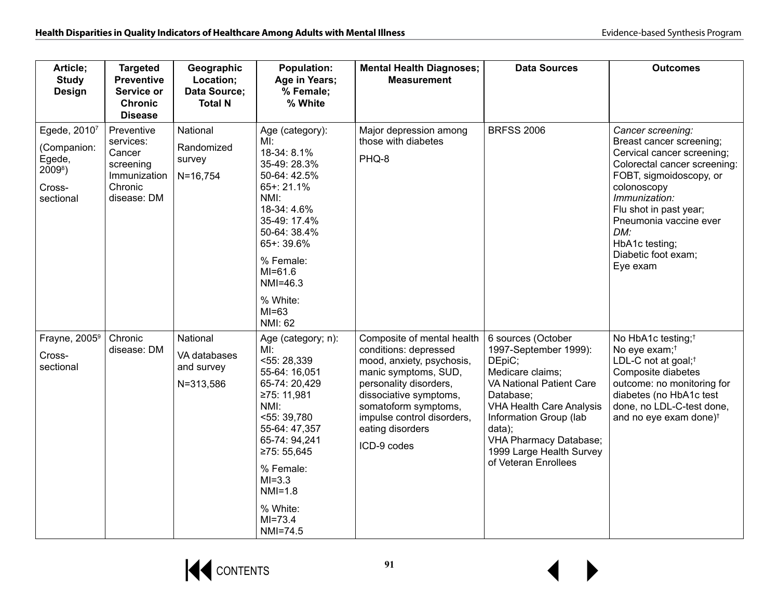| Article;<br><b>Study</b><br>Design                                         | <b>Targeted</b><br><b>Preventive</b><br>Service or<br><b>Chronic</b><br><b>Disease</b>   | Geographic<br>Location;<br>Data Source;<br><b>Total N</b> | <b>Population:</b><br>Age in Years;<br>% Female;<br>% White                                                                                                                                                                                | <b>Mental Health Diagnoses;</b><br><b>Measurement</b>                                                                                                                                                                                                 | <b>Data Sources</b>                                                                                                                                                                                                                                                                   | <b>Outcomes</b>                                                                                                                                                                                                                                                                        |
|----------------------------------------------------------------------------|------------------------------------------------------------------------------------------|-----------------------------------------------------------|--------------------------------------------------------------------------------------------------------------------------------------------------------------------------------------------------------------------------------------------|-------------------------------------------------------------------------------------------------------------------------------------------------------------------------------------------------------------------------------------------------------|---------------------------------------------------------------------------------------------------------------------------------------------------------------------------------------------------------------------------------------------------------------------------------------|----------------------------------------------------------------------------------------------------------------------------------------------------------------------------------------------------------------------------------------------------------------------------------------|
| Egede, 20107<br>(Companion:<br>Egede,<br>$2009^8$ )<br>Cross-<br>sectional | Preventive<br>services:<br>Cancer<br>screening<br>Immunization<br>Chronic<br>disease: DM | National<br>Randomized<br>survey<br>$N = 16,754$          | Age (category):<br>Ml:<br>18-34: 8.1%<br>35-49: 28.3%<br>50-64: 42.5%<br>65+: 21.1%<br>NMI:<br>18-34: 4.6%<br>35-49: 17.4%<br>50-64: 38.4%<br>65+: 39.6%<br>% Female:<br>$MI = 61.6$<br>NMI=46.3<br>% White:<br>$MI=63$<br>NMI: 62         | Major depression among<br>those with diabetes<br>PHQ-8                                                                                                                                                                                                | <b>BRFSS 2006</b>                                                                                                                                                                                                                                                                     | Cancer screening:<br>Breast cancer screening;<br>Cervical cancer screening;<br>Colorectal cancer screening:<br>FOBT, sigmoidoscopy, or<br>colonoscopy<br>Immunization:<br>Flu shot in past year;<br>Pneumonia vaccine ever<br>DM:<br>HbA1c testing;<br>Diabetic foot exam;<br>Eye exam |
| Frayne, 2005 <sup>9</sup><br>Cross-<br>sectional                           | Chronic<br>disease: DM                                                                   | National<br>VA databases<br>and survey<br>N=313,586       | Age (category; n):<br>MI:<br>55:28,339<br>55-64: 16,051<br>65-74: 20,429<br>≥75: 11,981<br>NMI:<br>55:39,780<br>55-64: 47,357<br>65-74: 94.241<br>≥75: 55,645<br>% Female:<br>$MI=3.3$<br>$NMI=1.8$<br>% White:<br>$MI = 73.4$<br>NMI=74.5 | Composite of mental health<br>conditions: depressed<br>mood, anxiety, psychosis,<br>manic symptoms, SUD,<br>personality disorders,<br>dissociative symptoms,<br>somatoform symptoms,<br>impulse control disorders,<br>eating disorders<br>ICD-9 codes | 6 sources (October<br>1997-September 1999):<br>DEpiC;<br>Medicare claims;<br><b>VA National Patient Care</b><br>Database:<br><b>VHA Health Care Analysis</b><br>Information Group (lab<br>data);<br><b>VHA Pharmacy Database;</b><br>1999 Large Health Survey<br>of Veteran Enrollees | No HbA1c testing; <sup>†</sup><br>No eye exam; <sup>†</sup><br>LDL-C not at goal; <sup>†</sup><br>Composite diabetes<br>outcome: no monitoring for<br>diabetes (no HbA1c test<br>done, no LDL-C-test done,<br>and no eye exam done) <sup>t</sup>                                       |

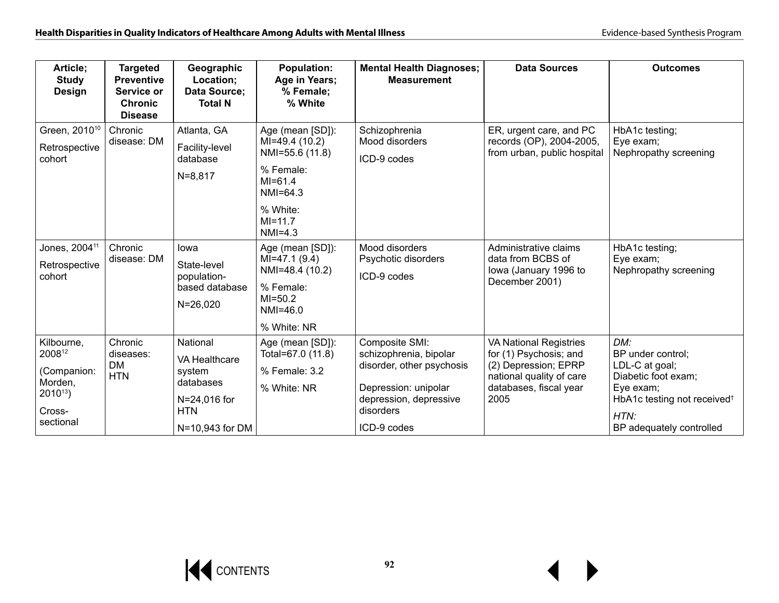| Article;<br><b>Study</b><br><b>Design</b>                                            | <b>Targeted</b><br><b>Preventive</b><br>Service or<br><b>Chronic</b><br><b>Disease</b> | Geographic<br>Location;<br>Data Source;<br><b>Total N</b>                                                | <b>Population:</b><br>Age in Years;<br>% Female;<br>% White                                                                              | <b>Mental Health Diagnoses;</b><br><b>Measurement</b>                                                                                               | <b>Data Sources</b>                                                                                                                           | <b>Outcomes</b>                                                                                                                                               |
|--------------------------------------------------------------------------------------|----------------------------------------------------------------------------------------|----------------------------------------------------------------------------------------------------------|------------------------------------------------------------------------------------------------------------------------------------------|-----------------------------------------------------------------------------------------------------------------------------------------------------|-----------------------------------------------------------------------------------------------------------------------------------------------|---------------------------------------------------------------------------------------------------------------------------------------------------------------|
| Green, 2010 <sup>10</sup><br>Retrospective<br>cohort                                 | Chronic<br>disease: DM                                                                 | Atlanta, GA<br>Facility-level<br>database<br>$N = 8,817$                                                 | Age (mean [SD]):<br>MI=49.4 (10.2)<br>NMI=55.6 (11.8)<br>% Female:<br>$MI = 61.4$<br>$NM = 64.3$<br>% White:<br>$MI = 11.7$<br>$NMI=4.3$ | Schizophrenia<br>Mood disorders<br>ICD-9 codes                                                                                                      | ER, urgent care, and PC<br>records (OP), 2004-2005,<br>from urban, public hospital                                                            | HbA1c testing;<br>Eye exam;<br>Nephropathy screening                                                                                                          |
| Jones, 2004 <sup>11</sup><br>Retrospective<br>cohort                                 | Chronic<br>disease: DM                                                                 | lowa<br>State-level<br>population-<br>based database<br>$N = 26,020$                                     | Age (mean [SD]):<br>$MI=47.1(9.4)$<br>NMI=48.4 (10.2)<br>% Female:<br>$MI = 50.2$<br>NMI=46.0<br>% White: NR                             | Mood disorders<br>Psychotic disorders<br>ICD-9 codes                                                                                                | Administrative claims<br>data from BCBS of<br>lowa (January 1996 to<br>December 2001)                                                         | HbA1c testing;<br>Eye exam;<br>Nephropathy screening                                                                                                          |
| Kilbourne.<br>200812<br>(Companion:<br>Morden,<br>$2010^{13}$<br>Cross-<br>sectional | Chronic<br>diseases:<br><b>DM</b><br><b>HTN</b>                                        | National<br><b>VA Healthcare</b><br>system<br>databases<br>N=24,016 for<br><b>HTN</b><br>N=10,943 for DM | Age (mean [SD]):<br>Total=67.0 (11.8)<br>% Female: 3.2<br>% White: NR                                                                    | Composite SMI:<br>schizophrenia, bipolar<br>disorder, other psychosis<br>Depression: unipolar<br>depression, depressive<br>disorders<br>ICD-9 codes | <b>VA National Registries</b><br>for (1) Psychosis; and<br>(2) Depression; EPRP<br>national quality of care<br>databases, fiscal year<br>2005 | DM:<br>BP under control;<br>LDL-C at goal;<br>Diabetic foot exam;<br>Eye exam;<br>HbA1c testing not received <sup>†</sup><br>HTN:<br>BP adequately controlled |

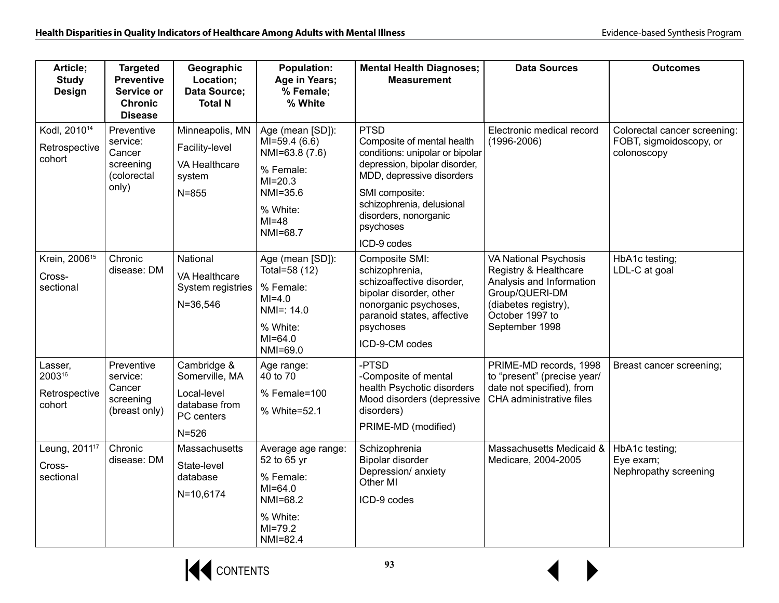| Article;<br><b>Study</b>                            | <b>Targeted</b><br><b>Preventive</b>                                  | Geographic<br>Location;                                                                  | <b>Population:</b><br>Age in Years;                                                                                             | <b>Mental Health Diagnoses;</b><br><b>Measurement</b>                                                                                                                                                                                          | <b>Data Sources</b>                                                                                                                                              | <b>Outcomes</b>                                                        |
|-----------------------------------------------------|-----------------------------------------------------------------------|------------------------------------------------------------------------------------------|---------------------------------------------------------------------------------------------------------------------------------|------------------------------------------------------------------------------------------------------------------------------------------------------------------------------------------------------------------------------------------------|------------------------------------------------------------------------------------------------------------------------------------------------------------------|------------------------------------------------------------------------|
| Design                                              | Service or<br><b>Chronic</b><br><b>Disease</b>                        | <b>Data Source;</b><br><b>Total N</b>                                                    | % Female;<br>% White                                                                                                            |                                                                                                                                                                                                                                                |                                                                                                                                                                  |                                                                        |
| Kodl, 2010 <sup>14</sup><br>Retrospective<br>cohort | Preventive<br>service:<br>Cancer<br>screening<br>(colorectal<br>only) | Minneapolis, MN<br>Facility-level<br>VA Healthcare<br>system<br>$N = 855$                | Age (mean [SD]):<br>$MI=59.4(6.6)$<br>NMI=63.8 (7.6)<br>% Female:<br>$MI = 20.3$<br>NMI=35.6<br>% White:<br>$MI=48$<br>NMI=68.7 | <b>PTSD</b><br>Composite of mental health<br>conditions: unipolar or bipolar<br>depression, bipolar disorder,<br>MDD, depressive disorders<br>SMI composite:<br>schizophrenia, delusional<br>disorders, nonorganic<br>psychoses<br>ICD-9 codes | Electronic medical record<br>$(1996 - 2006)$                                                                                                                     | Colorectal cancer screening:<br>FOBT, sigmoidoscopy, or<br>colonoscopy |
| Krein, 2006 <sup>15</sup><br>Cross-<br>sectional    | Chronic<br>disease: DM                                                | National<br>VA Healthcare<br>System registries<br>$N = 36,546$                           | Age (mean [SD]):<br>Total=58 (12)<br>% Female:<br>$MI=4.0$<br>$NMI =: 14.0$<br>% White:<br>$MI=64.0$<br>NMI=69.0                | Composite SMI:<br>schizophrenia,<br>schizoaffective disorder,<br>bipolar disorder, other<br>nonorganic psychoses,<br>paranoid states, affective<br>psychoses<br>ICD-9-CM codes                                                                 | <b>VA National Psychosis</b><br>Registry & Healthcare<br>Analysis and Information<br>Group/QUERI-DM<br>(diabetes registry),<br>October 1997 to<br>September 1998 | HbA1c testing;<br>LDL-C at goal                                        |
| Lasser,<br>200316<br>Retrospective<br>cohort        | Preventive<br>service:<br>Cancer<br>screening<br>(breast only)        | Cambridge &<br>Somerville, MA<br>Local-level<br>database from<br>PC centers<br>$N = 526$ | Age range:<br>40 to 70<br>% Female=100<br>% White=52.1                                                                          | -PTSD<br>-Composite of mental<br>health Psychotic disorders<br>Mood disorders (depressive<br>disorders)<br>PRIME-MD (modified)                                                                                                                 | PRIME-MD records, 1998<br>to "present" (precise year/<br>date not specified), from<br>CHA administrative files                                                   | Breast cancer screening;                                               |
| Leung, 2011 <sup>17</sup><br>Cross-<br>sectional    | Chronic<br>disease: DM                                                | Massachusetts<br>State-level<br>database<br>N=10,6174                                    | Average age range:<br>52 to 65 yr<br>% Female:<br>$MI=64.0$<br>NMI=68.2<br>% White:<br>$MI = 79.2$<br>NMI=82.4                  | Schizophrenia<br>Bipolar disorder<br>Depression/ anxiety<br>Other MI<br>ICD-9 codes                                                                                                                                                            | Massachusetts Medicaid &<br>Medicare, 2004-2005                                                                                                                  | HbA1c testing;<br>Eye exam;<br>Nephropathy screening                   |

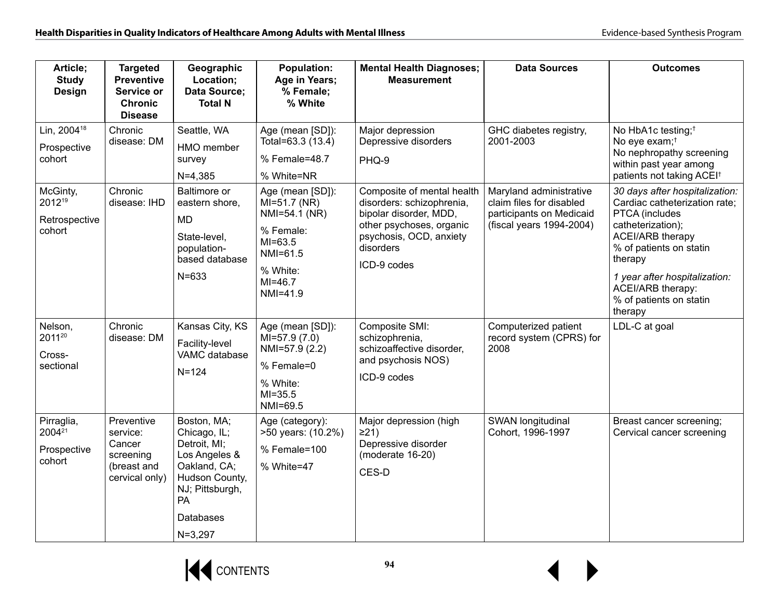| Article;<br><b>Study</b><br><b>Design</b>        | <b>Targeted</b><br><b>Preventive</b><br>Service or<br><b>Chronic</b><br><b>Disease</b> | Geographic<br>Location;<br>Data Source;<br><b>Total N</b>                                                                                                  | <b>Population:</b><br>Age in Years;<br>% Female;<br>% White                                                                    | <b>Mental Health Diagnoses;</b><br><b>Measurement</b>                                                                                                                | <b>Data Sources</b>                                                                                         | <b>Outcomes</b>                                                                                                                                                                                                                                                            |
|--------------------------------------------------|----------------------------------------------------------------------------------------|------------------------------------------------------------------------------------------------------------------------------------------------------------|--------------------------------------------------------------------------------------------------------------------------------|----------------------------------------------------------------------------------------------------------------------------------------------------------------------|-------------------------------------------------------------------------------------------------------------|----------------------------------------------------------------------------------------------------------------------------------------------------------------------------------------------------------------------------------------------------------------------------|
| Lin, 2004 <sup>18</sup><br>Prospective<br>cohort | Chronic<br>disease: DM                                                                 | Seattle, WA<br>HMO member<br>survey<br>$N=4,385$                                                                                                           | Age (mean [SD]):<br>Total=63.3 (13.4)<br>% Female=48.7<br>% White=NR                                                           | Major depression<br>Depressive disorders<br>PHQ-9                                                                                                                    | GHC diabetes registry,<br>2001-2003                                                                         | No HbA1c testing; <sup>†</sup><br>No eye exam; <sup>†</sup><br>No nephropathy screening<br>within past year among<br>patients not taking ACEI <sup>+</sup>                                                                                                                 |
| McGinty,<br>201219<br>Retrospective<br>cohort    | Chronic<br>disease: IHD                                                                | Baltimore or<br>eastern shore,<br><b>MD</b><br>State-level,<br>population-<br>based database<br>$N = 633$                                                  | Age (mean [SD]):<br>$MI=51.7$ (NR)<br>NMI=54.1 (NR)<br>% Female:<br>$MI=63.5$<br>NMI=61.5<br>% White:<br>$MI=46.7$<br>NMI=41.9 | Composite of mental health<br>disorders: schizophrenia,<br>bipolar disorder, MDD,<br>other psychoses, organic<br>psychosis, OCD, anxiety<br>disorders<br>ICD-9 codes | Maryland administrative<br>claim files for disabled<br>participants on Medicaid<br>(fiscal years 1994-2004) | 30 days after hospitalization:<br>Cardiac catheterization rate;<br>PTCA (includes<br>catheterization);<br><b>ACEI/ARB therapy</b><br>% of patients on statin<br>therapy<br>1 year after hospitalization:<br><b>ACEI/ARB therapy:</b><br>% of patients on statin<br>therapy |
| Nelson,<br>201120<br>Cross-<br>sectional         | Chronic<br>disease: DM                                                                 | Kansas City, KS<br>Facility-level<br>VAMC database<br>$N = 124$                                                                                            | Age (mean [SD]):<br>$MI=57.9(7.0)$<br>NMI=57.9 (2.2)<br>% Female=0<br>% White:<br>$MI = 35.5$<br>NMI=69.5                      | Composite SMI:<br>schizophrenia,<br>schizoaffective disorder,<br>and psychosis NOS)<br>ICD-9 codes                                                                   | Computerized patient<br>record system (CPRS) for<br>2008                                                    | LDL-C at goal                                                                                                                                                                                                                                                              |
| Pirraglia,<br>200421<br>Prospective<br>cohort    | Preventive<br>service:<br>Cancer<br>screening<br>(breast and<br>cervical only)         | Boston, MA;<br>Chicago, IL;<br>Detroit, MI;<br>Los Angeles &<br>Oakland, CA;<br>Hudson County,<br>NJ; Pittsburgh,<br><b>PA</b><br>Databases<br>$N = 3,297$ | Age (category):<br>>50 years: (10.2%)<br>% Female=100<br>% White=47                                                            | Major depression (high<br>$\geq$ 21)<br>Depressive disorder<br>(moderate 16-20)<br>CES-D                                                                             | SWAN longitudinal<br>Cohort, 1996-1997                                                                      | Breast cancer screening;<br>Cervical cancer screening                                                                                                                                                                                                                      |

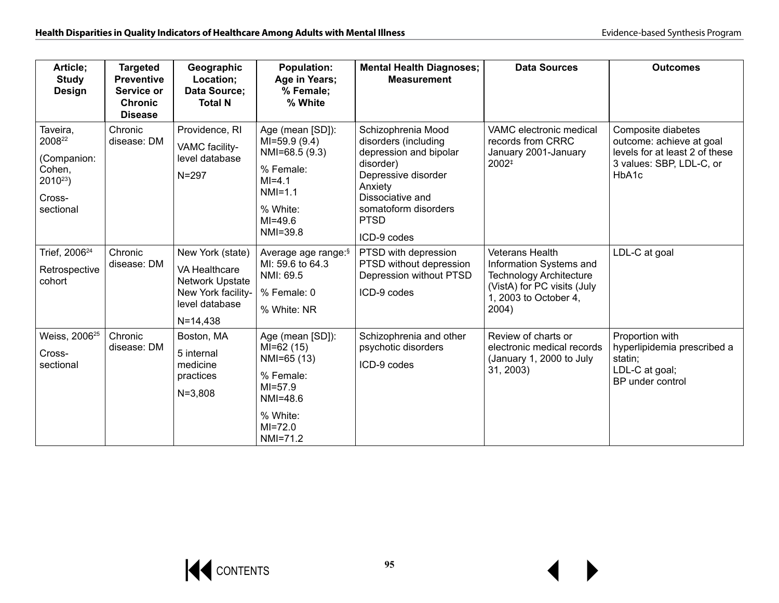| Article;<br><b>Study</b><br><b>Design</b>                                         | <b>Targeted</b><br><b>Preventive</b><br>Service or<br><b>Chronic</b><br><b>Disease</b> | Geographic<br>Location;<br>Data Source;<br><b>Total N</b>                                                           | <b>Population:</b><br>Age in Years;<br>% Female;<br>% White                                                                       | <b>Mental Health Diagnoses;</b><br><b>Measurement</b>                                                                                                                                         | <b>Data Sources</b>                                                                                                                                  | <b>Outcomes</b>                                                                                                       |
|-----------------------------------------------------------------------------------|----------------------------------------------------------------------------------------|---------------------------------------------------------------------------------------------------------------------|-----------------------------------------------------------------------------------------------------------------------------------|-----------------------------------------------------------------------------------------------------------------------------------------------------------------------------------------------|------------------------------------------------------------------------------------------------------------------------------------------------------|-----------------------------------------------------------------------------------------------------------------------|
| Taveira,<br>200822<br>(Companion:<br>Cohen,<br>$2010^{23}$<br>Cross-<br>sectional | Chronic<br>disease: DM                                                                 | Providence, RI<br>VAMC facility-<br>level database<br>$N = 297$                                                     | Age (mean [SD]):<br>$MI=59.9(9.4)$<br>NMI=68.5 (9.3)<br>% Female:<br>$MI = 4.1$<br>$NMI=1.1$<br>% White:<br>$MI=49.6$<br>NMI=39.8 | Schizophrenia Mood<br>disorders (including<br>depression and bipolar<br>disorder)<br>Depressive disorder<br>Anxiety<br>Dissociative and<br>somatoform disorders<br><b>PTSD</b><br>ICD-9 codes | VAMC electronic medical<br>records from CRRC<br>January 2001-January<br>2002#                                                                        | Composite diabetes<br>outcome: achieve at goal<br>levels for at least 2 of these<br>3 values: SBP, LDL-C, or<br>HbA1c |
| Trief, 2006 <sup>24</sup><br>Retrospective<br>cohort                              | Chronic<br>disease: DM                                                                 | New York (state)<br>VA Healthcare<br><b>Network Upstate</b><br>New York facility-<br>level database<br>$N = 14,438$ | Average age range: <sup>§</sup><br>MI: 59.6 to 64.3<br>NMI: 69.5<br>% Female: 0<br>% White: NR                                    | PTSD with depression<br>PTSD without depression<br>Depression without PTSD<br>ICD-9 codes                                                                                                     | <b>Veterans Health</b><br>Information Systems and<br><b>Technology Architecture</b><br>(VistA) for PC visits (July<br>1, 2003 to October 4,<br>2004) | LDL-C at goal                                                                                                         |
| Weiss, 2006 <sup>25</sup><br>Cross-<br>sectional                                  | Chronic<br>disease: DM                                                                 | Boston, MA<br>5 internal<br>medicine<br>practices<br>$N = 3,808$                                                    | Age (mean [SD]):<br>MI=62 (15)<br>NMI=65 (13)<br>% Female:<br>$MI = 57.9$<br>NMI=48.6<br>% White:<br>$MI = 72.0$<br>NMI=71.2      | Schizophrenia and other<br>psychotic disorders<br>ICD-9 codes                                                                                                                                 | Review of charts or<br>electronic medical records<br>(January 1, 2000 to July<br>31, 2003)                                                           | Proportion with<br>hyperlipidemia prescribed a<br>statin;<br>LDL-C at goal;<br>BP under control                       |

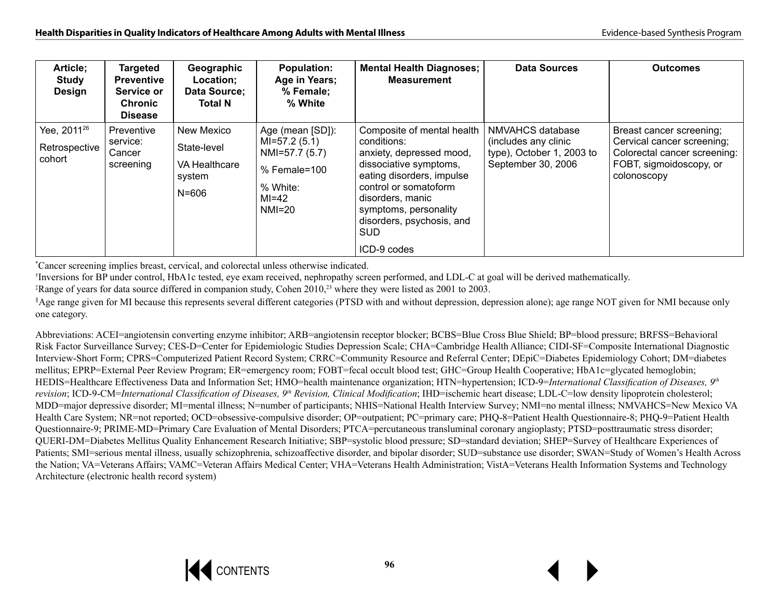| Article;<br>Study<br><b>Design</b>                 | <b>Targeted</b><br><b>Preventive</b><br>Service or<br><b>Chronic</b><br><b>Disease</b> | Geographic<br>Location;<br>Data Source;<br><b>Total N</b>         | <b>Population:</b><br>Age in Years;<br>% Female;<br>% White                                                | <b>Mental Health Diagnoses;</b><br><b>Measurement</b>                                                                                                                                                                                                        | Data Sources                                                                                | <b>Outcomes</b>                                                                                                                  |
|----------------------------------------------------|----------------------------------------------------------------------------------------|-------------------------------------------------------------------|------------------------------------------------------------------------------------------------------------|--------------------------------------------------------------------------------------------------------------------------------------------------------------------------------------------------------------------------------------------------------------|---------------------------------------------------------------------------------------------|----------------------------------------------------------------------------------------------------------------------------------|
| Yee, 2011 <sup>26</sup><br>Retrospective<br>cohort | Preventive<br>service:<br>Cancer<br>screening                                          | New Mexico<br>State-level<br>VA Healthcare<br>system<br>$N = 606$ | Age (mean [SD]):<br>$MI=57.2(5.1)$<br>NMI=57.7 (5.7)<br>$%$ Female=100<br>% White:<br>$MI=42$<br>$NM = 20$ | Composite of mental health<br>conditions:<br>anxiety, depressed mood,<br>dissociative symptoms,<br>eating disorders, impulse<br>control or somatoform<br>disorders, manic<br>symptoms, personality<br>disorders, psychosis, and<br><b>SUD</b><br>ICD-9 codes | NMVAHCS database<br>(includes any clinic<br>type), October 1, 2003 to<br>September 30, 2006 | Breast cancer screening;<br>Cervical cancer screening;<br>Colorectal cancer screening:<br>FOBT, sigmoidoscopy, or<br>colonoscopy |

\*Cancer screening implies breast, cervical, and colorectal unless otherwise indicated.

†Inversions for BP under control, HbA1c tested, eye exam received, nephropathy screen performed, and LDL-C at goal will be derived mathematically.

‡Range of years for data source differed in companion study, Cohen 2010,23 where they were listed as 2001 to 2003.

§Age range given for MI because this represents several different categories (PTSD with and without depression, depression alone); age range NOT given for NMI because only one category.

Abbreviations: ACEI=angiotensin converting enzyme inhibitor; ARB=angiotensin receptor blocker; BCBS=Blue Cross Blue Shield; BP=blood pressure; BRFSS=Behavioral Risk Factor Surveillance Survey; CES-D=Center for Epidemiologic Studies Depression Scale; CHA=Cambridge Health Alliance; CIDI-SF=Composite International Diagnostic Interview-Short Form; CPRS=Computerized Patient Record System; CRRC=Community Resource and Referral Center; DEpiC=Diabetes Epidemiology Cohort; DM=diabetes mellitus; EPRP=External Peer Review Program; ER=emergency room; FOBT=fecal occult blood test; GHC=Group Health Cooperative; HbA1c=glycated hemoglobin; HEDIS=Healthcare Effectiveness Data and Information Set; HMO=health maintenance organization; HTN=hypertension; ICD-9=*International Classification of Diseases, 9th revision*; ICD-9-CM=*International Classification of Diseases, 9<sup>th</sup> Revision, Clinical Modification*; IHD=ischemic heart disease; LDL-C=low density lipoprotein cholesterol; MDD=major depressive disorder; MI=mental illness; N=number of participants; NHIS=National Health Interview Survey; NMI=no mental illness; NMVAHCS=New Mexico VA Health Care System; NR=not reported; OCD=obsessive-compulsive disorder; OP=outpatient; PC=primary care; PHQ-8=Patient Health Questionnaire-8; PHQ-9=Patient Health Questionnaire-9; PRIME-MD=Primary Care Evaluation of Mental Disorders; PTCA=percutaneous transluminal coronary angioplasty; PTSD=posttraumatic stress disorder; QUERI-DM=Diabetes Mellitus Quality Enhancement Research Initiative; SBP=systolic blood pressure; SD=standard deviation; SHEP=Survey of Healthcare Experiences of Patients; SMI=serious mental illness, usually schizophrenia, schizoaffective disorder, and bipolar disorder; SUD=substance use disorder; SWAN=Study of Women's Health Across the Nation; VA=Veterans Affairs; VAMC=Veteran Affairs Medical Center; VHA=Veterans Health Administration; VistA=Veterans Health Information Systems and Technology Architecture (electronic health record system)

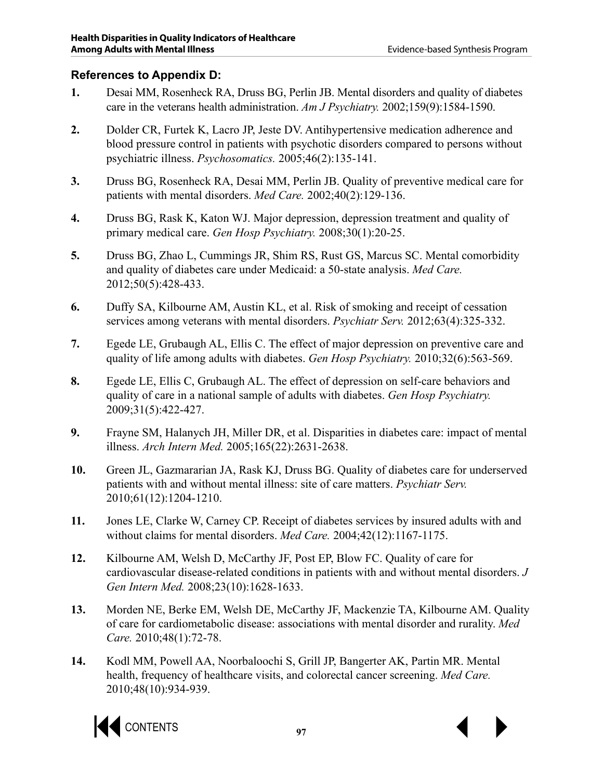#### **References to Appendix D:**

- **1.** Desai MM, Rosenheck RA, Druss BG, Perlin JB. Mental disorders and quality of diabetes care in the veterans health administration. *Am J Psychiatry.* 2002;159(9):1584-1590.
- **2.** Dolder CR, Furtek K, Lacro JP, Jeste DV. Antihypertensive medication adherence and blood pressure control in patients with psychotic disorders compared to persons without psychiatric illness. *Psychosomatics.* 2005;46(2):135-141.
- **3.** Druss BG, Rosenheck RA, Desai MM, Perlin JB. Quality of preventive medical care for patients with mental disorders. *Med Care.* 2002;40(2):129-136.
- **4.** Druss BG, Rask K, Katon WJ. Major depression, depression treatment and quality of primary medical care. *Gen Hosp Psychiatry.* 2008;30(1):20-25.
- **5.** Druss BG, Zhao L, Cummings JR, Shim RS, Rust GS, Marcus SC. Mental comorbidity and quality of diabetes care under Medicaid: a 50-state analysis. *Med Care.*  2012;50(5):428-433.
- **6.** Duffy SA, Kilbourne AM, Austin KL, et al. Risk of smoking and receipt of cessation services among veterans with mental disorders. *Psychiatr Serv.* 2012;63(4):325-332.
- **7.** Egede LE, Grubaugh AL, Ellis C. The effect of major depression on preventive care and quality of life among adults with diabetes. *Gen Hosp Psychiatry.* 2010;32(6):563-569.
- **8.** Egede LE, Ellis C, Grubaugh AL. The effect of depression on self-care behaviors and quality of care in a national sample of adults with diabetes. *Gen Hosp Psychiatry.*  2009;31(5):422-427.
- **9.** Frayne SM, Halanych JH, Miller DR, et al. Disparities in diabetes care: impact of mental illness. *Arch Intern Med.* 2005;165(22):2631-2638.
- **10.** Green JL, Gazmararian JA, Rask KJ, Druss BG. Quality of diabetes care for underserved patients with and without mental illness: site of care matters. *Psychiatr Serv.*  2010;61(12):1204-1210.
- **11.** Jones LE, Clarke W, Carney CP. Receipt of diabetes services by insured adults with and without claims for mental disorders. *Med Care.* 2004;42(12):1167-1175.
- **12.** Kilbourne AM, Welsh D, McCarthy JF, Post EP, Blow FC. Quality of care for cardiovascular disease-related conditions in patients with and without mental disorders. *J Gen Intern Med.* 2008;23(10):1628-1633.
- **13.** Morden NE, Berke EM, Welsh DE, McCarthy JF, Mackenzie TA, Kilbourne AM. Quality of care for cardiometabolic disease: associations with mental disorder and rurality. *Med Care.* 2010;48(1):72-78.
- **14.** Kodl MM, Powell AA, Noorbaloochi S, Grill JP, Bangerter AK, Partin MR. Mental health, frequency of healthcare visits, and colorectal cancer screening. *Med Care.*  2010;48(10):934-939.



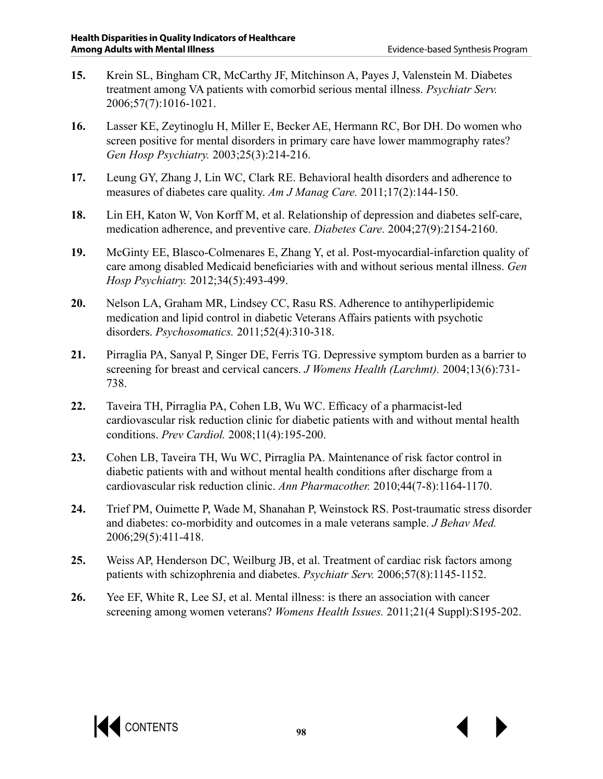- **15.** Krein SL, Bingham CR, McCarthy JF, Mitchinson A, Payes J, Valenstein M. Diabetes treatment among VA patients with comorbid serious mental illness. *Psychiatr Serv.*  2006;57(7):1016-1021.
- **16.** Lasser KE, Zeytinoglu H, Miller E, Becker AE, Hermann RC, Bor DH. Do women who screen positive for mental disorders in primary care have lower mammography rates? *Gen Hosp Psychiatry.* 2003;25(3):214-216.
- **17.** Leung GY, Zhang J, Lin WC, Clark RE. Behavioral health disorders and adherence to measures of diabetes care quality. *Am J Manag Care.* 2011;17(2):144-150.
- **18.** Lin EH, Katon W, Von Korff M, et al. Relationship of depression and diabetes self-care, medication adherence, and preventive care. *Diabetes Care.* 2004;27(9):2154-2160.
- **19.** McGinty EE, Blasco-Colmenares E, Zhang Y, et al. Post-myocardial-infarction quality of care among disabled Medicaid beneficiaries with and without serious mental illness. *Gen Hosp Psychiatry.* 2012;34(5):493-499.
- **20.** Nelson LA, Graham MR, Lindsey CC, Rasu RS. Adherence to antihyperlipidemic medication and lipid control in diabetic Veterans Affairs patients with psychotic disorders. *Psychosomatics.* 2011;52(4):310-318.
- **21.** Pirraglia PA, Sanyal P, Singer DE, Ferris TG. Depressive symptom burden as a barrier to screening for breast and cervical cancers. *J Womens Health (Larchmt).* 2004;13(6):731- 738.
- **22.** Taveira TH, Pirraglia PA, Cohen LB, Wu WC. Efficacy of a pharmacist-led cardiovascular risk reduction clinic for diabetic patients with and without mental health conditions. *Prev Cardiol.* 2008;11(4):195-200.
- **23.** Cohen LB, Taveira TH, Wu WC, Pirraglia PA. Maintenance of risk factor control in diabetic patients with and without mental health conditions after discharge from a cardiovascular risk reduction clinic. *Ann Pharmacother.* 2010;44(7-8):1164-1170.
- **24.** Trief PM, Ouimette P, Wade M, Shanahan P, Weinstock RS. Post-traumatic stress disorder and diabetes: co-morbidity and outcomes in a male veterans sample. *J Behav Med.*  2006;29(5):411-418.
- **25.** Weiss AP, Henderson DC, Weilburg JB, et al. Treatment of cardiac risk factors among patients with schizophrenia and diabetes. *Psychiatr Serv.* 2006;57(8):1145-1152.
- **26.** Yee EF, White R, Lee SJ, et al. Mental illness: is there an association with cancer screening among women veterans? *Womens Health Issues.* 2011;21(4 Suppl):S195-202.

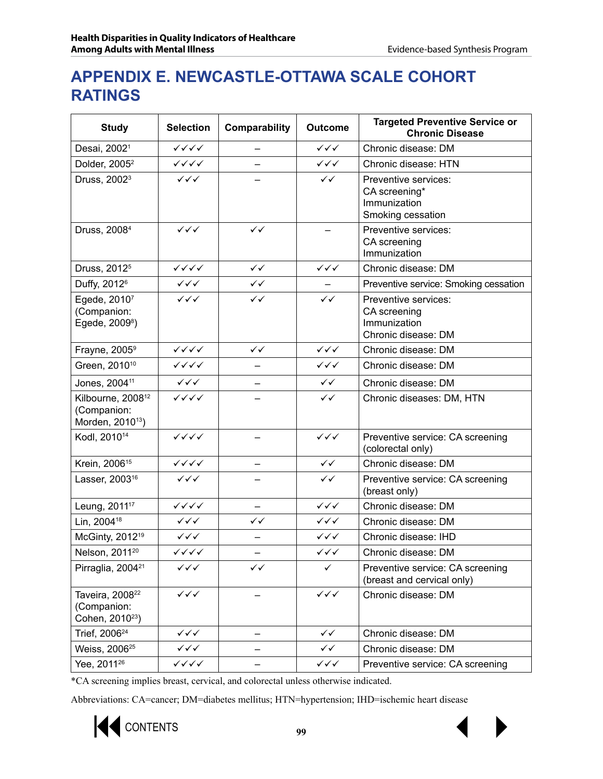## **APPENDIX E. NEWCASTLE-OTTAWA SCALE COHORT RATINGS**

| <b>Study</b>                                                                 | <b>Selection</b>                       | Comparability | <b>Outcome</b>                   | <b>Targeted Preventive Service or</b><br><b>Chronic Disease</b>             |
|------------------------------------------------------------------------------|----------------------------------------|---------------|----------------------------------|-----------------------------------------------------------------------------|
| Desai, 2002 <sup>1</sup>                                                     | $\checkmark\checkmark\checkmark$       |               | $\checkmark\checkmark\checkmark$ | Chronic disease: DM                                                         |
| Dolder, 2005 <sup>2</sup>                                                    | $\checkmark$ $\checkmark$ $\checkmark$ |               | $\checkmark\checkmark$           | Chronic disease: HTN                                                        |
| Druss, 2002 <sup>3</sup>                                                     | $\checkmark\checkmark$                 |               | $\checkmark$                     | Preventive services:<br>CA screening*<br>Immunization<br>Smoking cessation  |
| Druss, 2008 <sup>4</sup>                                                     | $\checkmark\checkmark$                 | $\checkmark$  |                                  | Preventive services:<br>CA screening<br>Immunization                        |
| Druss, 2012 <sup>5</sup>                                                     | $\checkmark\checkmark\checkmark$       | $\checkmark$  | $\checkmark\checkmark$           | Chronic disease: DM                                                         |
| Duffy, 2012 <sup>6</sup>                                                     | $\checkmark\checkmark$                 | $\checkmark$  |                                  | Preventive service: Smoking cessation                                       |
| Egede, 20107<br>(Companion:<br>Egede, 2009 <sup>8</sup> )                    | $\checkmark\checkmark$                 | $\checkmark$  | $\checkmark$                     | Preventive services:<br>CA screening<br>Immunization<br>Chronic disease: DM |
| Frayne, 2005 <sup>9</sup>                                                    | $\checkmark\checkmark\checkmark$       | $\checkmark$  | $\checkmark\checkmark\checkmark$ | Chronic disease: DM                                                         |
| Green, 2010 <sup>10</sup>                                                    | $\checkmark$ $\checkmark$ $\checkmark$ | —             | $\checkmark\checkmark$           | Chronic disease: DM                                                         |
| Jones, 2004 <sup>11</sup>                                                    | $\checkmark\checkmark$                 |               | $\checkmark$                     | Chronic disease: DM                                                         |
| Kilbourne, 2008 <sup>12</sup><br>(Companion:<br>Morden, 2010 <sup>13</sup> ) | $\checkmark\checkmark\checkmark$       |               | $\checkmark$                     | Chronic diseases: DM, HTN                                                   |
| Kodl, 2010 <sup>14</sup>                                                     | $\checkmark\checkmark\checkmark$       |               | $\checkmark\checkmark$           | Preventive service: CA screening<br>(colorectal only)                       |
| Krein, 2006 <sup>15</sup>                                                    | $\checkmark\checkmark\checkmark$       |               | $\checkmark$                     | Chronic disease: DM                                                         |
| Lasser, 2003 <sup>16</sup>                                                   | $\checkmark\checkmark$                 |               | $\checkmark$                     | Preventive service: CA screening<br>(breast only)                           |
| Leung, 2011 <sup>17</sup>                                                    | $\checkmark\checkmark\checkmark$       |               | $\checkmark\checkmark$           | Chronic disease: DM                                                         |
| Lin, 2004 <sup>18</sup>                                                      | $\checkmark\checkmark\checkmark$       | $\checkmark$  | $\checkmark\checkmark$           | Chronic disease: DM                                                         |
| McGinty, 2012 <sup>19</sup>                                                  | $\checkmark\checkmark$                 |               | $\checkmark\checkmark$           | Chronic disease: IHD                                                        |
| Nelson, 2011 <sup>20</sup>                                                   | $\checkmark$ $\checkmark$ $\checkmark$ |               | ✓✓✓                              | Chronic disease: DM                                                         |
| Pirraglia, 2004 <sup>21</sup>                                                | $\checkmark\checkmark$                 | $\checkmark$  | $\checkmark$                     | Preventive service: CA screening<br>(breast and cervical only)              |
| Taveira, 2008 <sup>22</sup><br>(Companion:<br>Cohen, 2010 <sup>23</sup> )    | $\checkmark\checkmark$                 |               | $\checkmark\checkmark\checkmark$ | Chronic disease: DM                                                         |
| Trief, 2006 <sup>24</sup>                                                    | $\checkmark\checkmark\checkmark$       |               | ✓✓                               | Chronic disease: DM                                                         |
| Weiss, 2006 <sup>25</sup>                                                    | $\checkmark\checkmark\checkmark$       |               | ✓✓                               | Chronic disease: DM                                                         |
| Yee, 2011 <sup>26</sup>                                                      | $\checkmark\checkmark\checkmark$       |               | $\checkmark\checkmark$           | Preventive service: CA screening                                            |

\*CA screening implies breast, cervical, and colorectal unless otherwise indicated.

Abbreviations: CA=cancer; DM=diabetes mellitus; HTN=hypertension; IHD=ischemic heart disease

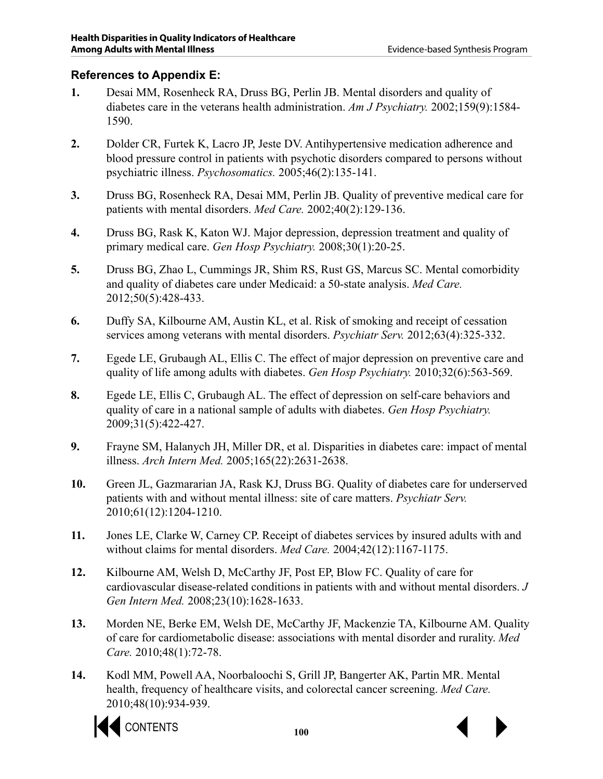#### **References to Appendix E:**

- **1.** Desai MM, Rosenheck RA, Druss BG, Perlin JB. Mental disorders and quality of diabetes care in the veterans health administration. *Am J Psychiatry.* 2002;159(9):1584- 1590.
- **2.** Dolder CR, Furtek K, Lacro JP, Jeste DV. Antihypertensive medication adherence and blood pressure control in patients with psychotic disorders compared to persons without psychiatric illness. *Psychosomatics.* 2005;46(2):135-141.
- **3.** Druss BG, Rosenheck RA, Desai MM, Perlin JB. Quality of preventive medical care for patients with mental disorders. *Med Care.* 2002;40(2):129-136.
- **4.** Druss BG, Rask K, Katon WJ. Major depression, depression treatment and quality of primary medical care. *Gen Hosp Psychiatry.* 2008;30(1):20-25.
- **5.** Druss BG, Zhao L, Cummings JR, Shim RS, Rust GS, Marcus SC. Mental comorbidity and quality of diabetes care under Medicaid: a 50-state analysis. *Med Care.*  2012;50(5):428-433.
- **6.** Duffy SA, Kilbourne AM, Austin KL, et al. Risk of smoking and receipt of cessation services among veterans with mental disorders. *Psychiatr Serv.* 2012;63(4):325-332.
- **7.** Egede LE, Grubaugh AL, Ellis C. The effect of major depression on preventive care and quality of life among adults with diabetes. *Gen Hosp Psychiatry.* 2010;32(6):563-569.
- **8.** Egede LE, Ellis C, Grubaugh AL. The effect of depression on self-care behaviors and quality of care in a national sample of adults with diabetes. *Gen Hosp Psychiatry.*  2009;31(5):422-427.
- **9.** Frayne SM, Halanych JH, Miller DR, et al. Disparities in diabetes care: impact of mental illness. *Arch Intern Med.* 2005;165(22):2631-2638.
- **10.** Green JL, Gazmararian JA, Rask KJ, Druss BG. Quality of diabetes care for underserved patients with and without mental illness: site of care matters. *Psychiatr Serv.*  2010;61(12):1204-1210.
- **11.** Jones LE, Clarke W, Carney CP. Receipt of diabetes services by insured adults with and without claims for mental disorders. *Med Care.* 2004;42(12):1167-1175.
- **12.** Kilbourne AM, Welsh D, McCarthy JF, Post EP, Blow FC. Quality of care for cardiovascular disease-related conditions in patients with and without mental disorders. *J Gen Intern Med.* 2008;23(10):1628-1633.
- **13.** Morden NE, Berke EM, Welsh DE, McCarthy JF, Mackenzie TA, Kilbourne AM. Quality of care for cardiometabolic disease: associations with mental disorder and rurality. *Med Care.* 2010;48(1):72-78.
- **14.** Kodl MM, Powell AA, Noorbaloochi S, Grill JP, Bangerter AK, Partin MR. Mental health, frequency of healthcare visits, and colorectal cancer screening. *Med Care.*  2010;48(10):934-939.



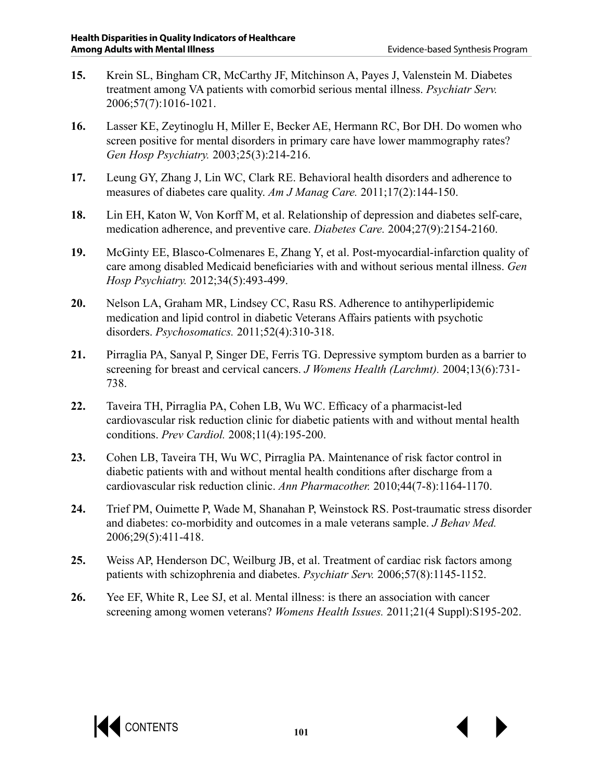- **15.** Krein SL, Bingham CR, McCarthy JF, Mitchinson A, Payes J, Valenstein M. Diabetes treatment among VA patients with comorbid serious mental illness. *Psychiatr Serv.*  2006;57(7):1016-1021.
- **16.** Lasser KE, Zeytinoglu H, Miller E, Becker AE, Hermann RC, Bor DH. Do women who screen positive for mental disorders in primary care have lower mammography rates? *Gen Hosp Psychiatry.* 2003;25(3):214-216.
- **17.** Leung GY, Zhang J, Lin WC, Clark RE. Behavioral health disorders and adherence to measures of diabetes care quality. *Am J Manag Care.* 2011;17(2):144-150.
- **18.** Lin EH, Katon W, Von Korff M, et al. Relationship of depression and diabetes self-care, medication adherence, and preventive care. *Diabetes Care.* 2004;27(9):2154-2160.
- **19.** McGinty EE, Blasco-Colmenares E, Zhang Y, et al. Post-myocardial-infarction quality of care among disabled Medicaid beneficiaries with and without serious mental illness. *Gen Hosp Psychiatry.* 2012;34(5):493-499.
- **20.** Nelson LA, Graham MR, Lindsey CC, Rasu RS. Adherence to antihyperlipidemic medication and lipid control in diabetic Veterans Affairs patients with psychotic disorders. *Psychosomatics.* 2011;52(4):310-318.
- **21.** Pirraglia PA, Sanyal P, Singer DE, Ferris TG. Depressive symptom burden as a barrier to screening for breast and cervical cancers. *J Womens Health (Larchmt).* 2004;13(6):731- 738.
- **22.** Taveira TH, Pirraglia PA, Cohen LB, Wu WC. Efficacy of a pharmacist-led cardiovascular risk reduction clinic for diabetic patients with and without mental health conditions. *Prev Cardiol.* 2008;11(4):195-200.
- **23.** Cohen LB, Taveira TH, Wu WC, Pirraglia PA. Maintenance of risk factor control in diabetic patients with and without mental health conditions after discharge from a cardiovascular risk reduction clinic. *Ann Pharmacother.* 2010;44(7-8):1164-1170.
- **24.** Trief PM, Ouimette P, Wade M, Shanahan P, Weinstock RS. Post-traumatic stress disorder and diabetes: co-morbidity and outcomes in a male veterans sample. *J Behav Med.*  2006;29(5):411-418.
- **25.** Weiss AP, Henderson DC, Weilburg JB, et al. Treatment of cardiac risk factors among patients with schizophrenia and diabetes. *Psychiatr Serv.* 2006;57(8):1145-1152.
- **26.** Yee EF, White R, Lee SJ, et al. Mental illness: is there an association with cancer screening among women veterans? *Womens Health Issues.* 2011;21(4 Suppl):S195-202.

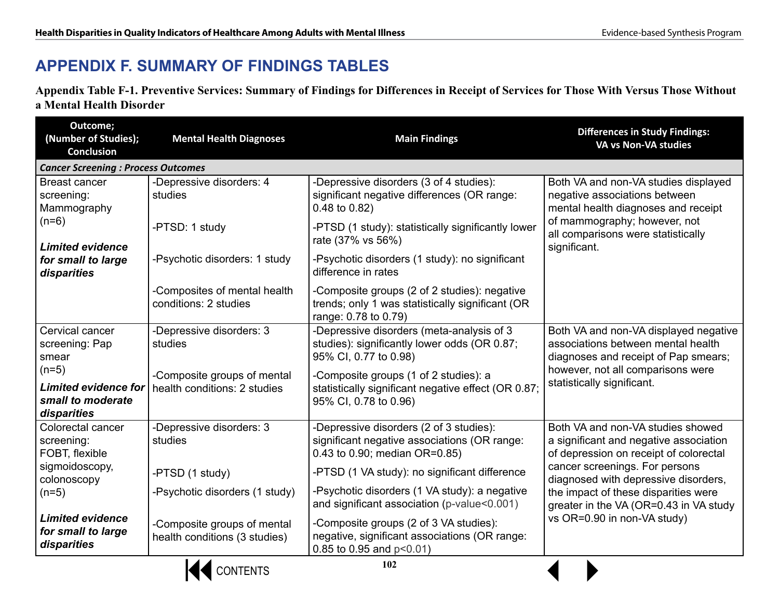## **APPENDIX F. SUMMARY OF FINDINGS TABLES**

**Appendix Table F-1. Preventive Services: Summary of Findings for Differences in Receipt of Services for Those With Versus Those Without a Mental Health Disorder**

| Outcome;<br>(Number of Studies);<br><b>Conclusion</b>                                   | <b>Mental Health Diagnoses</b>                               | <b>Main Findings</b>                                                                                                     | <b>Differences in Study Findings:</b><br>VA vs Non-VA studies                                                                                                                                      |
|-----------------------------------------------------------------------------------------|--------------------------------------------------------------|--------------------------------------------------------------------------------------------------------------------------|----------------------------------------------------------------------------------------------------------------------------------------------------------------------------------------------------|
| <b>Cancer Screening : Process Outcomes</b>                                              |                                                              |                                                                                                                          |                                                                                                                                                                                                    |
| <b>Breast cancer</b><br>screening:<br>Mammography<br>$(n=6)$<br><b>Limited evidence</b> | -Depressive disorders: 4<br>studies                          | -Depressive disorders (3 of 4 studies):<br>significant negative differences (OR range:<br>0.48 to 0.82)                  | Both VA and non-VA studies displayed<br>negative associations between<br>mental health diagnoses and receipt<br>of mammography; however, not<br>all comparisons were statistically<br>significant. |
|                                                                                         | -PTSD: 1 study                                               | -PTSD (1 study): statistically significantly lower<br>rate (37% vs 56%)                                                  |                                                                                                                                                                                                    |
| for small to large<br>disparities                                                       | -Psychotic disorders: 1 study                                | -Psychotic disorders (1 study): no significant<br>difference in rates                                                    |                                                                                                                                                                                                    |
|                                                                                         | -Composites of mental health<br>conditions: 2 studies        | -Composite groups (2 of 2 studies): negative<br>trends; only 1 was statistically significant (OR<br>range: 0.78 to 0.79) |                                                                                                                                                                                                    |
| Cervical cancer<br>screening: Pap<br>smear                                              | -Depressive disorders: 3<br>studies                          | -Depressive disorders (meta-analysis of 3<br>studies): significantly lower odds (OR 0.87;<br>95% CI, 0.77 to 0.98)       | Both VA and non-VA displayed negative<br>associations between mental health<br>diagnoses and receipt of Pap smears;                                                                                |
| $(n=5)$<br><b>Limited evidence for</b><br>small to moderate<br>disparities              | -Composite groups of mental<br>health conditions: 2 studies  | -Composite groups (1 of 2 studies): a<br>statistically significant negative effect (OR 0.87;<br>95% CI, 0.78 to 0.96)    | however, not all comparisons were<br>statistically significant.                                                                                                                                    |
| Colorectal cancer<br>screening:<br>FOBT, flexible                                       | -Depressive disorders: 3<br>studies                          | -Depressive disorders (2 of 3 studies):<br>significant negative associations (OR range:<br>0.43 to 0.90; median OR=0.85) | Both VA and non-VA studies showed<br>a significant and negative association<br>of depression on receipt of colorectal                                                                              |
| sigmoidoscopy,<br>colonoscopy                                                           | -PTSD (1 study)                                              | -PTSD (1 VA study): no significant difference                                                                            | cancer screenings. For persons<br>diagnosed with depressive disorders,                                                                                                                             |
| $(n=5)$                                                                                 | -Psychotic disorders (1 study)                               | -Psychotic disorders (1 VA study): a negative<br>and significant association (p-value<0.001)                             | the impact of these disparities were<br>greater in the VA (OR=0.43 in VA study                                                                                                                     |
| <b>Limited evidence</b><br>for small to large<br>disparities                            | -Composite groups of mental<br>health conditions (3 studies) | -Composite groups (2 of 3 VA studies):<br>negative, significant associations (OR range:<br>0.85 to 0.95 and $p<0.01$ )   | vs OR=0.90 in non-VA study)                                                                                                                                                                        |

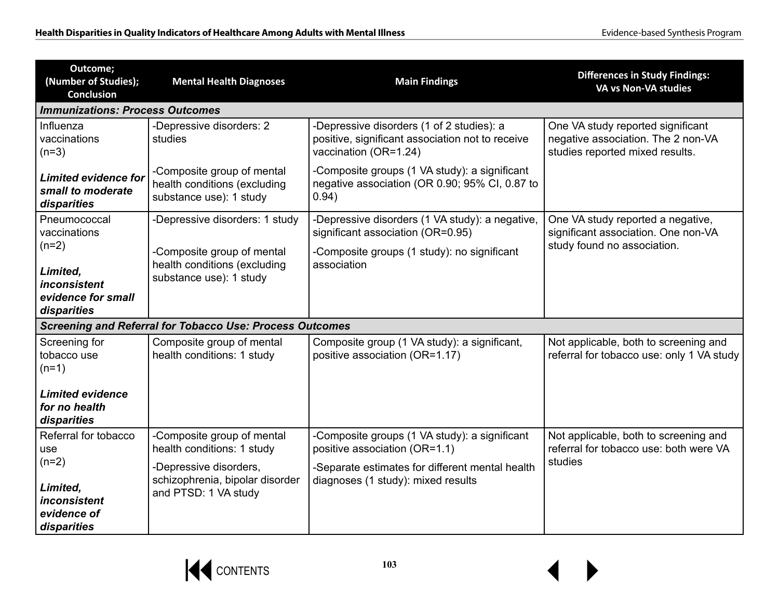| Outcome;<br>(Number of Studies);<br><b>Conclusion</b>                    | <b>Mental Health Diagnoses</b>                                                        | <b>Main Findings</b>                                                                                                   | <b>Differences in Study Findings:</b><br>VA vs Non-VA studies                                              |
|--------------------------------------------------------------------------|---------------------------------------------------------------------------------------|------------------------------------------------------------------------------------------------------------------------|------------------------------------------------------------------------------------------------------------|
| <b>Immunizations: Process Outcomes</b>                                   |                                                                                       |                                                                                                                        |                                                                                                            |
| Influenza<br>vaccinations<br>$(n=3)$                                     | -Depressive disorders: 2<br>studies                                                   | -Depressive disorders (1 of 2 studies): a<br>positive, significant association not to receive<br>vaccination (OR=1.24) | One VA study reported significant<br>negative association. The 2 non-VA<br>studies reported mixed results. |
| <b>Limited evidence for</b><br>small to moderate<br>disparities          | -Composite group of mental<br>health conditions (excluding<br>substance use): 1 study | -Composite groups (1 VA study): a significant<br>negative association (OR 0.90; 95% CI, 0.87 to<br>0.94)               |                                                                                                            |
| Pneumococcal<br>vaccinations                                             | -Depressive disorders: 1 study                                                        | -Depressive disorders (1 VA study): a negative,<br>significant association (OR=0.95)                                   | One VA study reported a negative,<br>significant association. One non-VA                                   |
| $(n=2)$<br>Limited,<br>inconsistent<br>evidence for small<br>disparities | -Composite group of mental<br>health conditions (excluding<br>substance use): 1 study | -Composite groups (1 study): no significant<br>association                                                             | study found no association.                                                                                |
|                                                                          | <b>Screening and Referral for Tobacco Use: Process Outcomes</b>                       |                                                                                                                        |                                                                                                            |
| Screening for<br>tobacco use<br>$(n=1)$                                  | Composite group of mental<br>health conditions: 1 study                               | Composite group (1 VA study): a significant,<br>positive association (OR=1.17)                                         | Not applicable, both to screening and<br>referral for tobacco use: only 1 VA study                         |
| <b>Limited evidence</b><br>for no health<br>disparities                  |                                                                                       |                                                                                                                        |                                                                                                            |
| Referral for tobacco<br>use<br>$(n=2)$                                   | -Composite group of mental<br>health conditions: 1 study                              | -Composite groups (1 VA study): a significant<br>positive association (OR=1.1)                                         | Not applicable, both to screening and<br>referral for tobacco use: both were VA<br>studies                 |
| Limited,<br>inconsistent<br>evidence of<br>disparities                   | -Depressive disorders,<br>schizophrenia, bipolar disorder<br>and PTSD: 1 VA study     | -Separate estimates for different mental health<br>diagnoses (1 study): mixed results                                  |                                                                                                            |

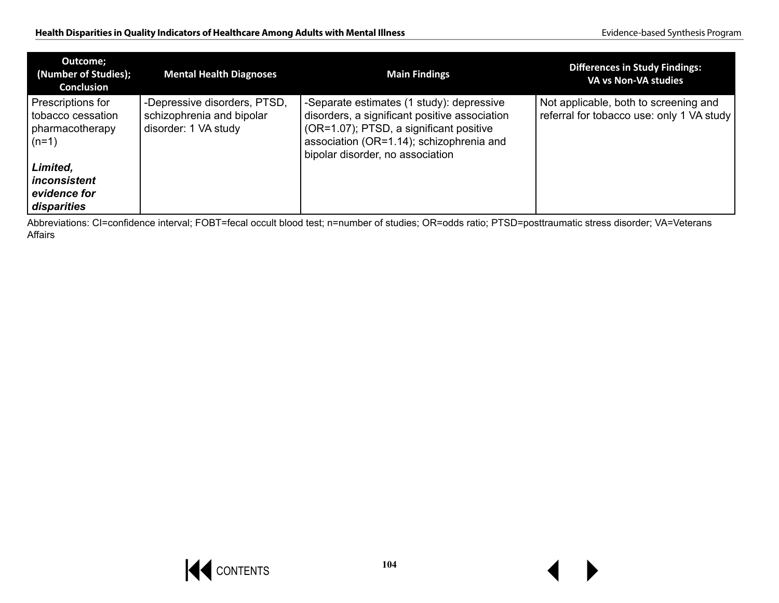| Outcome;<br>(Number of Studies);<br><b>Conclusion</b>                | <b>Mental Health Diagnoses</b>                                                    | <b>Main Findings</b>                                                                                                                                                                                                  | <b>Differences in Study Findings:</b><br>VA vs Non-VA studies                      |
|----------------------------------------------------------------------|-----------------------------------------------------------------------------------|-----------------------------------------------------------------------------------------------------------------------------------------------------------------------------------------------------------------------|------------------------------------------------------------------------------------|
| Prescriptions for<br>tobacco cessation<br>pharmacotherapy<br>$(n=1)$ | -Depressive disorders, PTSD,<br>schizophrenia and bipolar<br>disorder: 1 VA study | -Separate estimates (1 study): depressive<br>disorders, a significant positive association<br>(OR=1.07); PTSD, a significant positive<br>association (OR=1.14); schizophrenia and<br>bipolar disorder, no association | Not applicable, both to screening and<br>referral for tobacco use: only 1 VA study |
| Limited,<br>inconsistent<br>evidence for<br>disparities              |                                                                                   |                                                                                                                                                                                                                       |                                                                                    |

Abbreviations: CI=confidence interval; FOBT=fecal occult blood test; n=number of studies; OR=odds ratio; PTSD=posttraumatic stress disorder; VA=Veterans Affairs

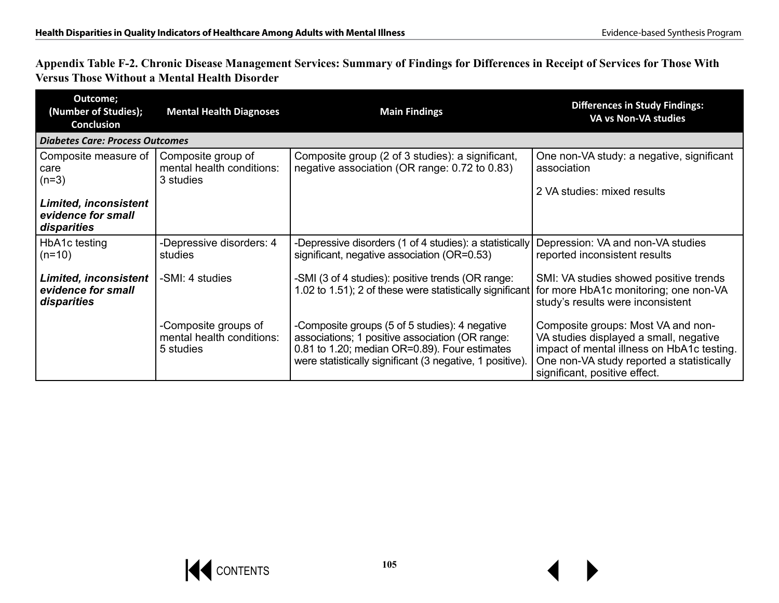**Appendix Table F-2. Chronic Disease Management Services: Summary of Findings for Differences in Receipt of Services for Those With Versus Those Without a Mental Health Disorder**

| Outcome;<br>(Number of Studies);<br><b>Conclusion</b>             | <b>Mental Health Diagnoses</b>                                 | <b>Main Findings</b>                                                                                                                                                                                           | <b>Differences in Study Findings:</b><br>VA vs Non-VA studies                                                                                                                                            |
|-------------------------------------------------------------------|----------------------------------------------------------------|----------------------------------------------------------------------------------------------------------------------------------------------------------------------------------------------------------------|----------------------------------------------------------------------------------------------------------------------------------------------------------------------------------------------------------|
| <b>Diabetes Care: Process Outcomes</b>                            |                                                                |                                                                                                                                                                                                                |                                                                                                                                                                                                          |
| Composite measure of<br>care<br>$(n=3)$                           | Composite group of<br>mental health conditions:<br>3 studies   | Composite group (2 of 3 studies): a significant,<br>negative association (OR range: 0.72 to 0.83)                                                                                                              | One non-VA study: a negative, significant<br>association                                                                                                                                                 |
| <b>Limited, inconsistent</b>                                      |                                                                |                                                                                                                                                                                                                | 2 VA studies: mixed results                                                                                                                                                                              |
| evidence for small<br>disparities                                 |                                                                |                                                                                                                                                                                                                |                                                                                                                                                                                                          |
| HbA1c testing<br>$(n=10)$                                         | -Depressive disorders: 4<br>studies                            | -Depressive disorders (1 of 4 studies): a statistically<br>significant, negative association (OR=0.53)                                                                                                         | Depression: VA and non-VA studies<br>reported inconsistent results                                                                                                                                       |
| <b>Limited, inconsistent</b><br>evidence for small<br>disparities | -SMI: 4 studies                                                | -SMI (3 of 4 studies): positive trends (OR range:<br>1.02 to 1.51); 2 of these were statistically significant                                                                                                  | SMI: VA studies showed positive trends<br>for more HbA1c monitoring; one non-VA<br>study's results were inconsistent                                                                                     |
|                                                                   | -Composite groups of<br>mental health conditions:<br>5 studies | -Composite groups (5 of 5 studies): 4 negative<br>associations; 1 positive association (OR range:<br>0.81 to 1.20; median OR=0.89). Four estimates<br>were statistically significant (3 negative, 1 positive). | Composite groups: Most VA and non-<br>VA studies displayed a small, negative<br>impact of mental illness on HbA1c testing.<br>One non-VA study reported a statistically<br>significant, positive effect. |

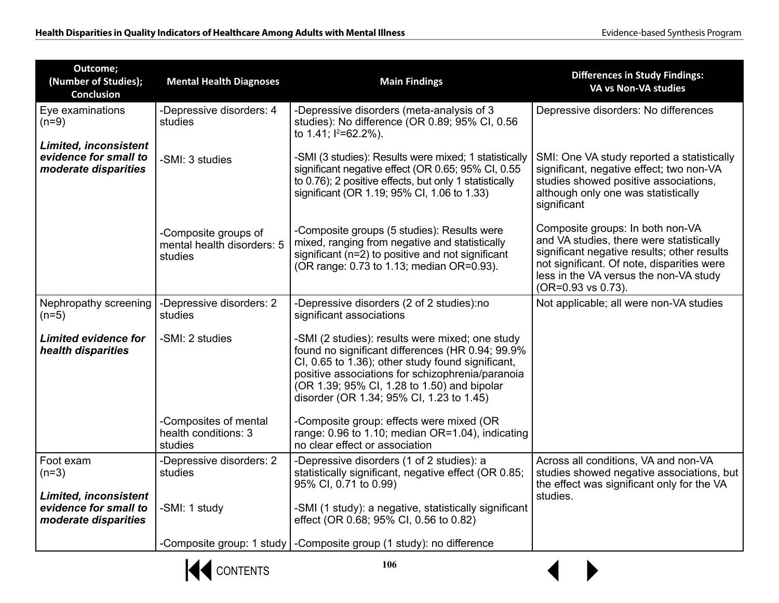| Outcome;<br>(Number of Studies);<br><b>Conclusion</b>                         | <b>Mental Health Diagnoses</b>                                | <b>Main Findings</b>                                                                                                                                                                                                                                                                                    | <b>Differences in Study Findings:</b><br>VA vs Non-VA studies                                                                                                                                                                             |
|-------------------------------------------------------------------------------|---------------------------------------------------------------|---------------------------------------------------------------------------------------------------------------------------------------------------------------------------------------------------------------------------------------------------------------------------------------------------------|-------------------------------------------------------------------------------------------------------------------------------------------------------------------------------------------------------------------------------------------|
| Eye examinations<br>$(n=9)$                                                   | -Depressive disorders: 4<br>studies                           | -Depressive disorders (meta-analysis of 3<br>studies): No difference (OR 0.89; 95% CI, 0.56<br>to 1.41; $1^{2}=62.2\%$ ).                                                                                                                                                                               | Depressive disorders: No differences                                                                                                                                                                                                      |
| <b>Limited, inconsistent</b><br>evidence for small to<br>moderate disparities | -SMI: 3 studies                                               | -SMI (3 studies): Results were mixed; 1 statistically<br>significant negative effect (OR 0.65; 95% CI, 0.55<br>to 0.76); 2 positive effects, but only 1 statistically<br>significant (OR 1.19; 95% CI, 1.06 to 1.33)                                                                                    | SMI: One VA study reported a statistically<br>significant, negative effect; two non-VA<br>studies showed positive associations,<br>although only one was statistically<br>significant                                                     |
|                                                                               | -Composite groups of<br>mental health disorders: 5<br>studies | -Composite groups (5 studies): Results were<br>mixed, ranging from negative and statistically<br>significant (n=2) to positive and not significant<br>(OR range: 0.73 to 1.13; median OR=0.93).                                                                                                         | Composite groups: In both non-VA<br>and VA studies, there were statistically<br>significant negative results; other results<br>not significant. Of note, disparities were<br>less in the VA versus the non-VA study<br>(OR=0.93 vs 0.73). |
| Nephropathy screening<br>$(n=5)$                                              | -Depressive disorders: 2<br>studies                           | -Depressive disorders (2 of 2 studies):no<br>significant associations                                                                                                                                                                                                                                   | Not applicable; all were non-VA studies                                                                                                                                                                                                   |
| <b>Limited evidence for</b><br>health disparities                             | -SMI: 2 studies                                               | -SMI (2 studies): results were mixed; one study<br>found no significant differences (HR 0.94; 99.9%<br>CI, 0.65 to 1.36); other study found significant,<br>positive associations for schizophrenia/paranoia<br>(OR 1.39; 95% CI, 1.28 to 1.50) and bipolar<br>disorder (OR 1.34; 95% CI, 1.23 to 1.45) |                                                                                                                                                                                                                                           |
|                                                                               | -Composites of mental<br>health conditions: 3<br>studies      | -Composite group: effects were mixed (OR<br>range: 0.96 to 1.10; median OR=1.04), indicating<br>no clear effect or association                                                                                                                                                                          |                                                                                                                                                                                                                                           |
| Foot exam<br>$(n=3)$<br><b>Limited, inconsistent</b>                          | -Depressive disorders: 2<br>studies                           | -Depressive disorders (1 of 2 studies): a<br>statistically significant, negative effect (OR 0.85;<br>95% CI, 0.71 to 0.99)                                                                                                                                                                              | Across all conditions, VA and non-VA<br>studies showed negative associations, but<br>the effect was significant only for the VA<br>studies.                                                                                               |
| evidence for small to<br>moderate disparities                                 | -SMI: 1 study                                                 | -SMI (1 study): a negative, statistically significant<br>effect (OR 0.68; 95% CI, 0.56 to 0.82)                                                                                                                                                                                                         |                                                                                                                                                                                                                                           |
|                                                                               |                                                               | -Composite group: 1 study   -Composite group (1 study): no difference                                                                                                                                                                                                                                   |                                                                                                                                                                                                                                           |



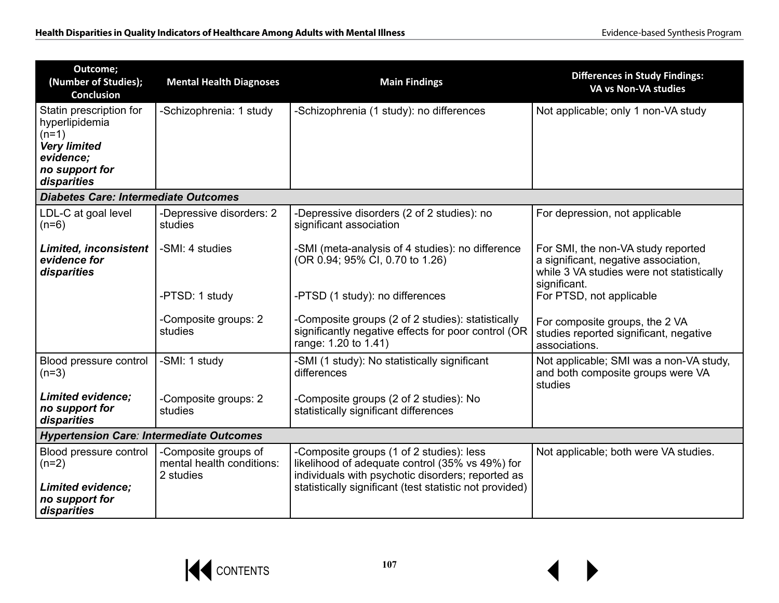| Outcome;<br>(Number of Studies);<br><b>Conclusion</b>                                                                     | <b>Mental Health Diagnoses</b>                                 | <b>Main Findings</b>                                                                                                                                                                                        | <b>Differences in Study Findings:</b><br>VA vs Non-VA studies                                                                           |  |
|---------------------------------------------------------------------------------------------------------------------------|----------------------------------------------------------------|-------------------------------------------------------------------------------------------------------------------------------------------------------------------------------------------------------------|-----------------------------------------------------------------------------------------------------------------------------------------|--|
| Statin prescription for<br>hyperlipidemia<br>$(n=1)$<br><b>Very limited</b><br>evidence;<br>no support for<br>disparities | -Schizophrenia: 1 study                                        | -Schizophrenia (1 study): no differences                                                                                                                                                                    | Not applicable; only 1 non-VA study                                                                                                     |  |
| Diabetes Care: Intermediate Outcomes                                                                                      |                                                                |                                                                                                                                                                                                             |                                                                                                                                         |  |
| LDL-C at goal level<br>$(n=6)$                                                                                            | -Depressive disorders: 2<br>studies                            | -Depressive disorders (2 of 2 studies): no<br>significant association                                                                                                                                       | For depression, not applicable                                                                                                          |  |
| <b>Limited, inconsistent</b><br>evidence for<br>disparities                                                               | -SMI: 4 studies                                                | -SMI (meta-analysis of 4 studies): no difference<br>(OR 0.94; 95% CI, 0.70 to 1.26)                                                                                                                         | For SMI, the non-VA study reported<br>a significant, negative association,<br>while 3 VA studies were not statistically<br>significant. |  |
|                                                                                                                           | -PTSD: 1 study                                                 | -PTSD (1 study): no differences                                                                                                                                                                             | For PTSD, not applicable                                                                                                                |  |
|                                                                                                                           | -Composite groups: 2<br>studies                                | -Composite groups (2 of 2 studies): statistically<br>significantly negative effects for poor control (OR<br>range: 1.20 to 1.41)                                                                            | For composite groups, the 2 VA<br>studies reported significant, negative<br>associations.                                               |  |
| Blood pressure control<br>$(n=3)$                                                                                         | -SMI: 1 study                                                  | -SMI (1 study): No statistically significant<br>differences                                                                                                                                                 | Not applicable; SMI was a non-VA study,<br>and both composite groups were VA<br>studies                                                 |  |
| <b>Limited evidence:</b><br>no support for<br>disparities                                                                 | -Composite groups: 2<br>studies                                | -Composite groups (2 of 2 studies): No<br>statistically significant differences                                                                                                                             |                                                                                                                                         |  |
| <b>Hypertension Care: Intermediate Outcomes</b>                                                                           |                                                                |                                                                                                                                                                                                             |                                                                                                                                         |  |
| Blood pressure control<br>$(n=2)$<br><b>Limited evidence:</b><br>no support for<br>disparities                            | -Composite groups of<br>mental health conditions:<br>2 studies | -Composite groups (1 of 2 studies): less<br>likelihood of adequate control (35% vs 49%) for<br>individuals with psychotic disorders; reported as<br>statistically significant (test statistic not provided) | Not applicable; both were VA studies.                                                                                                   |  |